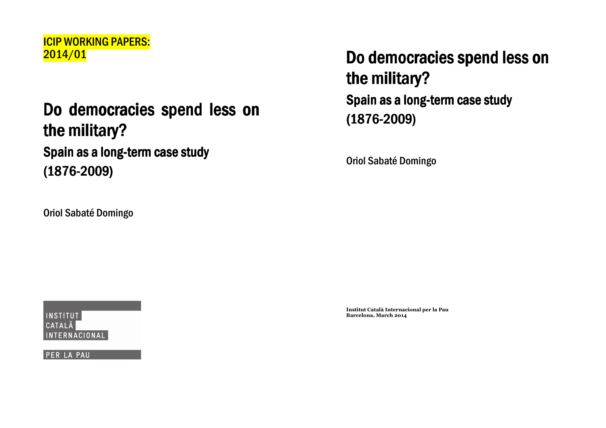# Do democracies spend less on the military? Spain as a long-term case study (1876-2009)

Do democracies spend less on the military? Spain as a long-term case study (1876-2009)

Oriol Sabaté Domingo

Oriol Sabaté Domingo

**INSTITUT** CATALÀ INTERNACIONAL

PER LA PAU

**Institut Català Internacional per la Pau Barcelona, March 2014**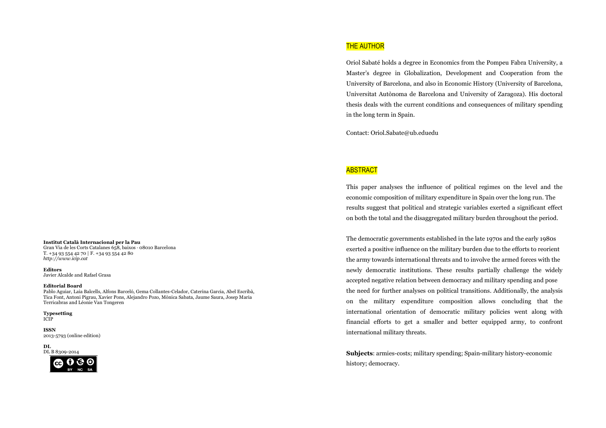#### **Institut Català Internacional per la Pau**

Gran Via de les Corts Catalanes 658, baixos · 08010 Barcelona T. +34 93 554 42 70 | F. +34 93 554 42 80 *http://www.icip.cat*

**Editors** Javier Alcalde and Rafael Grasa

#### **Editorial Board**

 Pablo Aguiar, Laia Balcells, Alfons Barceló, Gema Collantes-Celador, Caterina Garcia, Abel Escribà, Tica Font, Antoni Pigrau, Xavier Pons, Alejandro Pozo, Mònica Sabata, Jaume Saura, Josep Maria Terricabras and Léonie Van Tongeren

**Typesetting** ICIP

# **ISSN**

2013-5793 (online edition)

#### **DL**

DL B 8309-2014



# **THE AUTHOR**

Oriol Sabaté holds a degree in Economics from the Pompeu Fabra University, a Master's degree in Globalization, Development and Cooperation from the University of Barcelona, and also in Economic History (University of Barcelona, Universitat Autònoma de Barcelona and University of Zaragoza). His doctoral thesis deals with the current conditions and consequences of military spending in the long term in Spain.

Contact: Oriol.Sabate@ub.eduedu

# **ABSTRACT**

This paper analyses the influence of political regimes on the level and the economic composition of military expenditure in Spain over the long run. The results suggest that political and strategic variables exerted a significant effect on both the total and the disaggregated military burden throughout the period.

The democratic governments established in the late 1970s and the early 1980s exerted a positive influence on the military burden due to the efforts to reorient the army towards international threats and to involve the armed forces with the newly democratic institutions. These results partially challenge the widely accepted negative relation between democracy and military spending and pose the need for further analyses on political transitions. Additionally, the analysis on the military expenditure composition allows concluding that the international orientation of democratic military policies went along with financial efforts to get a smaller and better equipped army, to confront international military threats.

**Subjects**: armies-costs; military spending; Spain-military history-economic history; democracy.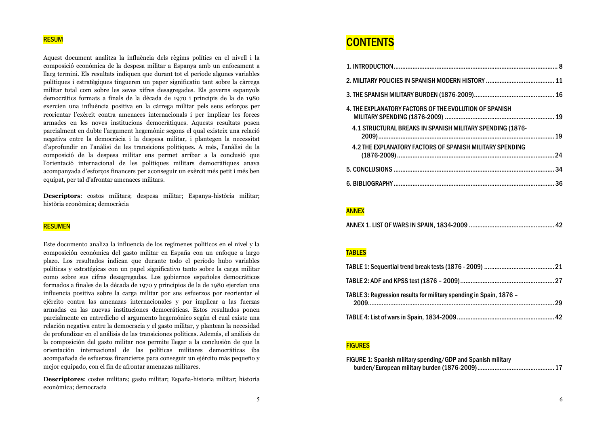# RESUM

Aquest document analitza la influència dels règims polítics en el nivell i la composició econòmica de la despesa militar a Espanya amb un enfocament a llarg termini. Els resultats indiquen que durant tot el període algunes variables polítiques i estratègiques tingueren un paper significatiu tant sobre la càrrega militar total com sobre les seves xifres desagregades. Els governs espanyols democràtics formats a finals de la dècada de 1970 i principis de la de 1980 exercien una influència positiva en la càrrega militar pels seus esforços per reorientar l'exèrcit contra amenaces internacionals i per implicar les forces armades en les noves institucions democràtiques. Aquests resultats posen parcialment en dubte l'argument hegemònic segons el qual existeix una relació negativa entre la democràcia i la despesa militar, i plantegen la necessitat d'aprofundir en l'anàlisi de les transicions polítiques. A més, l'anàlisi de la composició de la despesa militar ens permet arribar a la conclusió que l'orientació internacional de les polítiques militars democràtiques anava acompanyada d'esforços financers per aconseguir un exèrcit més petit i més ben equipat, per tal d'afrontar amenaces militars.

**Descriptors**: costos militars; despesa militar; Espanya-història militar; història econòmica; democràcia

# **RESUMEN**

Este documento analiza la influencia de los regímenes políticos en el nivel y la composición económica del gasto militar en España con un enfoque a largo plazo. Los resultados indican que durante todo el período hubo variables políticas y estratégicas con un papel significativo tanto sobre la carga militar como sobre sus cifras desagregadas. Los gobiernos españoles democráticos formados a finales de la década de 1970 y principios de la de 1980 ejercían una influencia positiva sobre la carga militar por sus esfuerzos por reorientar el ejército contra las amenazas internacionales y por implicar a las fuerzas armadas en las nuevas instituciones democráticas. Estos resultados ponen parcialmente en entredicho el argumento hegemónico según el cual existe una relación negativa entre la democracia y el gasto militar, y plantean la necesidad de profundizar en el análisis de las transiciones políticas. Además, el análisis de la composición del gasto militar nos permite llegar a la conclusión de que la orientación internacional de las políticas militares democráticas iba acompañada de esfuerzos financieros para conseguir un ejército más pequeño y mejor equipado, con el fin de afrontar amenazas militares.

**Descriptores**: costes militars; gasto militar; España-historia militar; historia económica; democracia

# **CONTENTS**

| 4. THE EXPLANATORY FACTORS OF THE EVOLUTION OF SPANISH    |  |
|-----------------------------------------------------------|--|
| 4.1 STRUCTURAL BREAKS IN SPANISH MILITARY SPENDING (1876- |  |
| 4.2 THE EXPLANATORY FACTORS OF SPANISH MILITARY SPENDING  |  |
|                                                           |  |
|                                                           |  |

# **ANNEX**

|--|--|--|

## **TABLES**

| TABLE 3: Regression results for military spending in Spain, 1876 - |  |
|--------------------------------------------------------------------|--|
|                                                                    |  |

# **FIGURES**

| FIGURE 1: Spanish military spending/GDP and Spanish military |  |
|--------------------------------------------------------------|--|
|                                                              |  |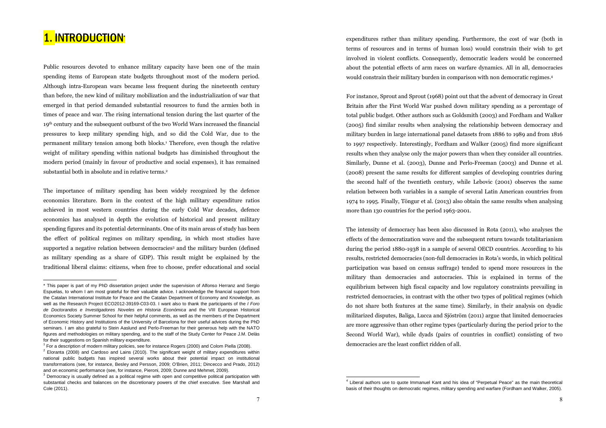# 1. INTRODUCTION**\***

Public resources devoted to enhance military capacity have been one of the main spending items of European state budgets throughout most of the modern period. Although intra-European wars became less frequent during the nineteenth century than before, the new kind of military mobilization and the industrialization of war that emerged in that period demanded substantial resources to fund the armies both in times of peace and war. The rising international tension during the last quarter of the 19th century and the subsequent outburst of the two World Wars increased the financial pressures to keep military spending high, and so did the Cold War, due to the permanent military tension among both blocks.1 Therefore, even though the relative weight of military spending within national budgets has diminished throughout the modern period (mainly in favour of productive and social expenses), it has remained substantial both in absolute and in relative terms.2

The importance of military spending has been widely recognized by the defence economics literature. Born in the context of the high military expenditure ratios achieved in most western countries during the early Cold War decades, defence economics has analysed in depth the evolution of historical and present military spending figures and its potential determinants. One of its main areas of study has been the effect of political regimes on military spending, in which most studies have supported a negative relation between democracies<sup>3</sup> and the military burden (defined as military spending as a share of GDP). This result might be explained by the traditional liberal claims: citizens, when free to choose, prefer educational and social

expenditures rather than military spending. Furthermore, the cost of war (both in terms of resources and in terms of human loss) would constrain their wish to get involved in violent conflicts. Consequently, democratic leaders would be concerned about the potential effects of arm races on warfare dynamics. All in all, democracies would constrain their military burden in comparison with non democratic regimes.<sup>4</sup>

For instance, Sprout and Sprout (1968) point out that the advent of democracy in Great Britain after the First World War pushed down military spending as a percentage of total public budget. Other authors such as Goldsmith (2003) and Fordham and Walker (2005) find similar results when analysing the relationship between democracy and military burden in large international panel datasets from 1886 to 1989 and from 1816 to 1997 respectively. Interestingly, Fordham and Walker (2005) find more significant results when they analyse only the major powers than when they consider all countries. Similarly, Dunne et al. (2003), Dunne and Perlo-Freeman (2003) and Dunne et al. (2008) present the same results for different samples of developing countries during the second half of the twentieth century, while Lebovic (2001) observes the same relation between both variables in a sample of several Latin American countries from 1974 to 1995. Finally, Töngur et al. (2013) also obtain the same results when analysing more than 130 countries for the period 1963-2001.

The intensity of democracy has been also discussed in Rota (2011), who analyses the effects of the democratization wave and the subsequent return towards totalitarianism during the period 1880-1938 in a sample of several OECD countries. According to his results, restricted democracies (non-full democracies in Rota's words, in which political participation was based on census suffrage) tended to spend more resources in the military than democracies and autocracies. This is explained in terms of the equilibrium between high fiscal capacity and low regulatory constraints prevailing in restricted democracies, in contrast with the other two types of political regimes (which do not share both features at the same time). Similarly, in their analysis on dyadic militarized disputes, Baliga, Lucca and Sjöström (2011) argue that limited democracies are more aggressive than other regime types (particularly during the period prior to the Second World War), while dyads (pairs of countries in conflict) consisting of two democracies are the least conflict ridden of all.

<sup>\*</sup> This paper is part of my PhD dissertation project under the supervision of Alfonso Herranz and Sergio Espuelas, to whom I am most grateful for their valuable advice. I acknowledge the financial support from the Catalan International Institute for Peace and the Catalan Department of Economy and Knowledge, as well as the Research Project ECO2012-39169-C03-03. I want also to thank the participants of the I Foro de Doctorandos e Investigadores Noveles en Historia Económica and the VIII European Historical Economics Society Summer School for their helpful comments, as well as the members of the Department of Economic History and Institutions of the University of Barcelona for their useful advices during the PhD seminars. I am also grateful to Stein Aaslund and Perlo-Freeman for their generous help with the NATO figures and methodologies on military spending, and to the staff of the Study Center for Peace J.M. Delàs for their suggestions on Spanish military expenditure.

 $1$  For a description of modern military policies, see for instance Rogers (2000) and Colom Piella (2008).

 $2$  Eloranta (2008) and Cardoso and Lains (2010). The significant weight of military expenditures within national public budgets has inspired several works about their potential impact on institutional transformations (see, for instance, Besley and Persson, 2009; O'Brien, 2011; Dincecco and Prado, 2012)and on economic performance (see, for instance, Pieroni, 2009; Dunne and Mehmet, 2009).

 $3$  Democracy is usually defined as a political regime with open and competitive political participation with substantial checks and balances on the discretionary powers of the chief executive. See Marshall and Cole (2011).

<sup>4</sup> Liberal authors use to quote Immanuel Kant and his idea of "Perpetual Peace" as the main theoretical basis of their thoughts on democratic regimes, military spending and warfare (Fordham and Walker, 2005).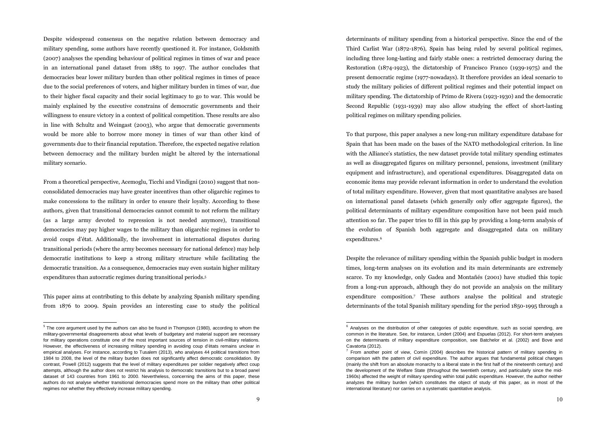Despite widespread consensus on the negative relation between democracy and military spending, some authors have recently questioned it. For instance, Goldsmith (2007) analyses the spending behaviour of political regimes in times of war and peace in an international panel dataset from 1885 to 1997. The author concludes that democracies bear lower military burden than other political regimes in times of peace due to the social preferences of voters, and higher military burden in times of war, due to their higher fiscal capacity and their social legitimacy to go to war. This would be mainly explained by the executive constrains of democratic governments and their willingness to ensure victory in a context of political competition. These results are also in line with Schultz and Weingast (2003), who argue that democratic governments would be more able to borrow more money in times of war than other kind of governments due to their financial reputation. Therefore, the expected negative relation between democracy and the military burden might be altered by the international military scenario.

From a theoretical perspective, Acemoglu, Ticchi and Vindigni (2010) suggest that nonconsolidated democracies may have greater incentives than other oligarchic regimes to make concessions to the military in order to ensure their loyalty. According to these authors, given that transitional democracies cannot commit to not reform the military (as a large army devoted to repression is not needed anymore), transitional democracies may pay higher wages to the military than oligarchic regimes in order to avoid coups d'état. Additionally, the involvement in international disputes during transitional periods (where the army becomes necessary for national defence) may help democratic institutions to keep a strong military structure while facilitating the democratic transition. As a consequence, democracies may even sustain higher military expenditures than autocratic regimes during transitional periods.<sup>5</sup>

This paper aims at contributing to this debate by analyzing Spanish military spending from 1876 to 2009. Spain provides an interesting case to study the political determinants of military spending from a historical perspective. Since the end of the Third Carlist War (1872-1876), Spain has being ruled by several political regimes, including three long-lasting and fairly stable ones: a restricted democracy during the Restoration (1874-1923), the dictatorship of Francisco Franco (1939-1975) and the present democratic regime (1977-nowadays). It therefore provides an ideal scenario to study the military policies of different political regimes and their potential impact on military spending. The dictatorship of Primo de Rivera (1923-1930) and the democratic Second Republic (1931-1939) may also allow studying the effect of short-lasting political regimes on military spending policies.

To that purpose, this paper analyses a new long-run military expenditure database for Spain that has been made on the bases of the NATO methodological criterion. In line with the Alliance's statistics, the new dataset provide total military spending estimates as well as disaggregated figures on military personnel, pensions, investment (military equipment and infrastructure), and operational expenditures. Disaggregated data on economic items may provide relevant information in order to understand the evolution of total military expenditure. However, given that most quantitative analyses are based on international panel datasets (which generally only offer aggregate figures), the political determinants of military expenditure composition have not been paid much attention so far. The paper tries to fill in this gap by providing a long-term analysis of the evolution of Spanish both aggregate and disaggregated data on military expenditures.<sup>6</sup>

Despite the relevance of military spending within the Spanish public budget in modern times, long-term analyses on its evolution and its main determinants are extremely scarce. To my knowledge, only Gadea and Montañés (2001) have studied this topic from a long-run approach, although they do not provide an analysis on the military expenditure composition.7 These authors analyse the political and strategic determinants of the total Spanish military spending for the period 1850-1995 through a

<sup>&</sup>lt;sup>5</sup> The core argument used by the authors can also be found in Thompson (1980), according to whom the military-governmental disagreements about what levels of budgetary and material support are necessary for military operations constitute one of the most important sources of tension in civil-military relations. However, the effectiveness of increasing military spending in avoiding coup d'ètats remains unclear in empirical analyses. For instance, according to Tusalem (2013), who analyses 44 political transitions from 1984 to 2008, the level of the military burden does not significantly affect democratic consolidation. By contrast, Powell (2012) suggests that the level of military expenditures per soldier negatively affect coup attempts, although the author does not restrict his analysis to democratic transitions but to a broad panel dataset of 143 countries from 1961 to 2000. Nevertheless, concerning the aims of this paper, these authors do not analyse whether transitional democracies spend more on the military than other political regimes nor whether they effectively increase military spending.

 $6$  Analvses on the distribution of other categories of public expenditure, such as social spending, are common in the literature. See, for instance, Lindert (2004) and Espuelas (2012). For short-term analyses on the determinants of military expenditure composition, see Batchelor et al. (2002) and Bove and Cavatorta (2012).

 $<sup>7</sup>$  From another point of view, Comín (2004) describes the historical pattern of military spending in</sup> comparison with the pattern of civil expenditure. The author argues that fundamental political changes (mainly the shift from an absolute monarchy to a liberal state in the first half of the nineteenth century) and the development of the Welfare State (throughout the twentieth century, and particularly since the mid- 1960s) affected the weight of military spending within total public expenditure. However, the author neither analyzes the military burden (which constitutes the object of study of this paper, as in most of the international literature) nor carries on a systematic quantitative analysis.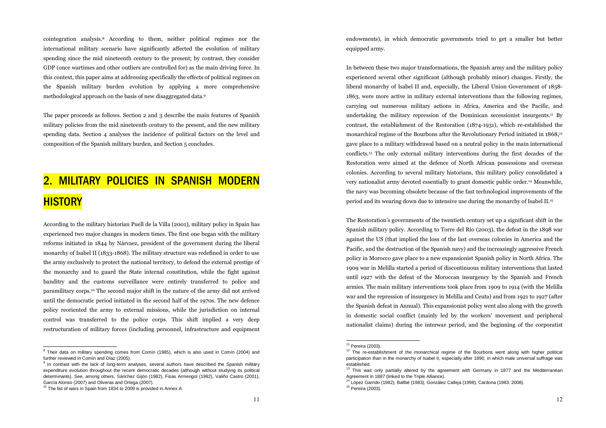cointegration analysis.8 According to them, neither political regimes nor the international military scenario have significantly affected the evolution of military spending since the mid nineteenth century to the present; by contrast, they consider GDP (once wartimes and other outliers are controlled for) as the main driving force. In this context, this paper aims at addressing specifically the effects of political regimes on the Spanish military burden evolution by applying a more comprehensive methodological approach on the basis of new disaggregated data.<sup>9</sup>

The paper proceeds as follows. Section 2 and 3 describe the main features of Spanish military policies from the mid nineteenth century to the present, and the new military spending data. Section 4 analyses the incidence of political factors on the level and composition of the Spanish military burden, and Section 5 concludes.

# 2. MILITARY POLICIES IN SPANISH MODERN **HISTORY**

According to the military historian Puell de la Villa (2001), military policy in Spain has experienced two major changes in modern times. The first one began with the military reforms initiated in 1844 by Nárvaez, president of the government during the liberal monarchy of Isabel II (1833-1868). The military structure was redefined in order to use the army exclusively to protect the national territory, to defend the external prestige of the monarchy and to guard the State internal constitution, while the fight against banditry and the customs surveillance were entirely transferred to police and paramilitary corps.10 The second major shift in the nature of the army did not arrived until the democratic period initiated in the second half of the 1970s. The new defence policy reoriented the army to external missions, while the jurisdiction on internal control was transferred to the police corps. This shift implied a very deep restructuration of military forces (including personnel, infrastructure and equipment endowments), in which democratic governments tried to get a smaller but better equipped army.

In between these two major transformations, the Spanish army and the military policy experienced several other significant (although probably minor) changes. Firstly, the liberal monarchy of Isabel II and, especially, the Liberal Union Government of 1858-1863, were more active in military external interventions than the following regimes, carrying out numerous military actions in Africa, America and the Pacific, and undertaking the military repression of the Dominican secessionist insurgents.11 By contrast, the establishment of the Restoration (1874-1931), which re-established the monarchical regime of the Bourbons after the Revolutionary Period initiated in 1868,<sup>12</sup> gave place to a military withdrawal based on a neutral policy in the main international conflicts.13 The only external military interventions during the first decades of the Restoration were aimed at the defence of North African possessions and overseas colonies. According to several military historians, this military policy consolidated a very nationalist army devoted essentially to grant domestic public order.14 Meanwhile, the navy was becoming obsolete because of the fast technological improvements of the period and its wearing down due to intensive use during the monarchy of Isabel II.<sup>15</sup>

The Restoration's governments of the twentieth century set up a significant shift in the Spanish military policy. According to Torre del Río (2003), the defeat in the 1898 war against the US (that implied the loss of the last overseas colonies in America and the Pacific, and the destruction of the Spanish navy) and the increasingly aggressive French policy in Morocco gave place to a new expansionist Spanish policy in North Africa. The 1909 war in Melilla started a period of discontinuous military interventions that lasted until 1927 with the defeat of the Moroccan insurgency by the Spanish and French armies. The main military interventions took place from 1909 to 1914 (with the Melilla war and the repression of insurgency in Melilla and Ceuta) and from 1921 to 1927 (after the Spanish defeat in Annual). This expansionist policy went also along with the growth in domestic social conflict (mainly led by the workers' movement and peripheral nationalist claims) during the interwar period, and the beginning of the corporatist

 $8$  Their data on military spending comes from Comín (1985), which is also used in Comín (2004) and further reviewed in Comín and Díaz (2005).

 $9$  In contrast with the lack of long-term analyses, several authors have described the Spanish military expenditure evolution throughout the recent democratic decades (although without studying its political determinants). See, among others, Sánchez Gijón (1982), Fisas Armengol (1982), Valiño Castro (2001), García Alonso (2007) and Oliveras and Ortega (2007).

<sup>&</sup>lt;sup>10</sup> The list of wars in Spain from 1834 to 2009 is provided in Annex A.

 $11$  Pereira (2003).

 $12$  The re-establishment of the monarchical regime of the Bourbons went along with higher political participation than in the monarchy of Isabel II, especially after 1890, in which male universal suffrage was established.

 $13$  This was only partially altered by the agreement with Germany in 1877 and the Mediterranean Agreement in 1887 (linked to the Triple Alliance).

<sup>&</sup>lt;sup>14</sup> López Garrido (1982), Ballbé (1983), González Calleja (1998), Cardona (1983, 2008).

<sup>15</sup> Pereira (2003).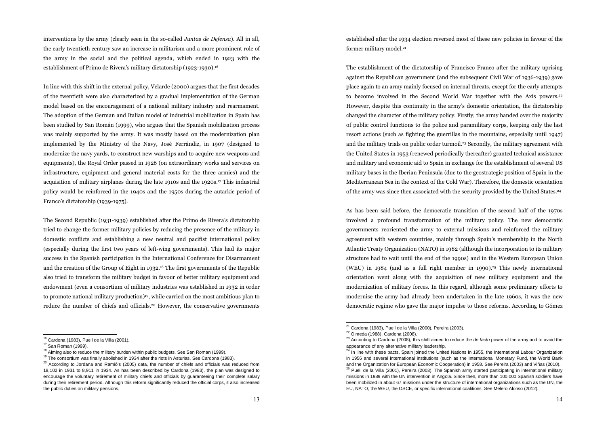interventions by the army (clearly seen in the so-called *Juntas de Defensa*). All in all, the early twentieth century saw an increase in militarism and a more prominent role of the army in the social and the political agenda, which ended in 1923 with the establishment of Primo de Rivera's military dictatorship (1923-1930).<sup>16</sup>

In line with this shift in the external policy, Velarde (2000) argues that the first decades of the twentieth were also characterized by a gradual implementation of the German model based on the encouragement of a national military industry and rearmament. The adoption of the German and Italian model of industrial mobilization in Spain has been studied by San Román (1999), who argues that the Spanish mobilization process was mainly supported by the army. It was mostly based on the modernization plan implemented by the Ministry of the Navy, José Ferrándiz, in 1907 (designed to modernize the navy yards, to construct new warships and to acquire new weapons and equipments), the Royal Order passed in 1926 (on extraordinary works and services on infrastructure, equipment and general material costs for the three armies) and the acquisition of military airplanes during the late 1910s and the 1920s.17 This industrial policy would be reinforced in the 1940s and the 1950s during the autarkic period of Franco's dictatorship (1939-1975).

The Second Republic (1931-1939) established after the Primo de Rivera's dictatorship tried to change the former military policies by reducing the presence of the military in domestic conflicts and establishing a new neutral and pacifist international policy (especially during the first two years of left-wing governments). This had its major success in the Spanish participation in the International Conference for Disarmament and the creation of the Group of Eight in 1932.18 The first governments of the Republic also tried to transform the military budget in favour of better military equipment and endowment (even a consortium of military industries was established in 1932 in order to promote national military production)<sup>19</sup>, while carried on the most ambitious plan to reduce the number of chiefs and officials.20 However, the conservative governments

established after the 1934 election reversed most of these new policies in favour of the former military model.<sup>21</sup>

The establishment of the dictatorship of Francisco Franco after the military uprising against the Republican government (and the subsequent Civil War of 1936-1939) gave place again to an army mainly focused on internal threats, except for the early attempts to become involved in the Second World War together with the Axis powers.<sup>22</sup> However, despite this continuity in the army's domestic orientation, the dictatorship changed the character of the military policy. Firstly, the army handed over the majority of public control functions to the police and paramilitary corps, keeping only the last resort actions (such as fighting the guerrillas in the mountains, especially until 1947) and the military trials on public order turmoil.23 Secondly, the military agreement with the United States in 1953 (renewed periodically thereafter) granted technical assistance and military and economic aid to Spain in exchange for the establishment of several US military bases in the Iberian Peninsula (due to the geostrategic position of Spain in the Mediterranean Sea in the context of the Cold War). Therefore, the domestic orientation of the army was since then associated with the security provided by the United States.<sup>24</sup>

As has been said before, the democratic transition of the second half of the 1970s involved a profound transformation of the military policy. The new democratic governments reoriented the army to external missions and reinforced the military agreement with western countries, mainly through Spain's membership in the North Atlantic Treaty Organization (NATO) in 1982 (although the incorporation to its military structure had to wait until the end of the 1990s) and in the Western European Union (WEU) in 1984 (and as a full right member in 1990).25 This newly international orientation went along with the acquisition of new military equipment and the modernization of military forces. In this regard, although some preliminary efforts to modernise the army had already been undertaken in the late 1960s, it was the new democratic regime who gave the major impulse to those reforms. According to Gómez

 $16$  Cardona (1983), Puell de la Villa (2001).

<sup>17</sup> San Roman (1999).

<sup>&</sup>lt;sup>18</sup> Aiming also to reduce the military burden within public budgets. See San Roman (1999).

<sup>&</sup>lt;sup>19</sup> The consortium was finally abolished in 1934 after the riots in Asturias. See Cardona (1983).

 $^{20}$  According to Jordana and Ramió's (2005) data, the number of chiefs and officials was reduced from 18,102 in 1931 to 8,911 in 1934. As has been described by Cardona (1983), the plan was designed to encourage the voluntary retirement of military chiefs and officials by guaranteeing their complete salary during their retirement period. Although this reform significantly reduced the official corps, it also increased the public duties on military pensions.

 $21$  Cardona (1983), Puell de la Villa (2000), Pereira (2003).

<sup>22</sup> Olmeda (1988), Cardona (2008).

<sup>&</sup>lt;sup>23</sup> According to Cardona (2008), this shift aimed to reduce the de facto power of the army and to avoid the appearance of any alternative military leadership.

<sup>&</sup>lt;sup>24</sup> In line with these pacts, Spain joined the United Nations in 1955, the International Labour Organization in 1956 and several international institutions (such as the International Monetary Fund, the World Bank and the Organization for European Economic Cooperation) in 1958. See Pereira (2003) and Viñas (2010). <sup>25</sup> Puell de la Villa (2001), Pereira (2003). The Spanish army started participating in international military missions in 1989 with the UN intervention in Angola. Since then, more than 100,000 Spanish soldiers have been mobilized in about 67 missions under the structure of international organizations such as the UN, the EU, NATO, the WEU, the OSCE, or specific international coalitions. See Melero Alonso (2012).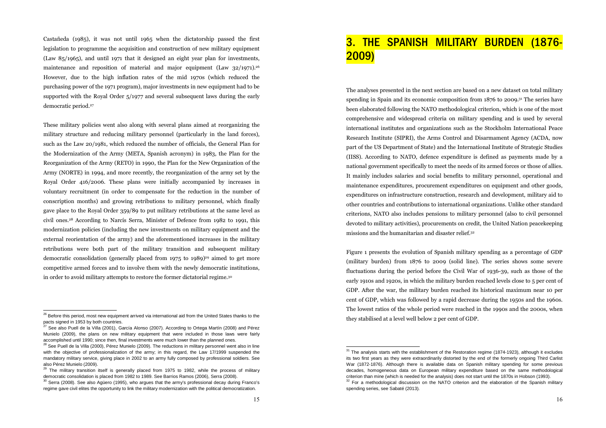Castañeda (1985), it was not until 1965 when the dictatorship passed the first legislation to programme the acquisition and construction of new military equipment (Law 85/1965), and until 1971 that it designed an eight year plan for investments, maintenance and reposition of material and major equipment (Law  $32/1971$ ).<sup>26</sup> However, due to the high inflation rates of the mid 1970s (which reduced the purchasing power of the 1971 program), major investments in new equipment had to be supported with the Royal Order 5/1977 and several subsequent laws during the early democratic period.<sup>27</sup>

These military policies went also along with several plans aimed at reorganizing the military structure and reducing military personnel (particularly in the land forces), such as the Law 20/1981, which reduced the number of officials, the General Plan for the Modernization of the Army (META, Spanish acronym) in 1983, the Plan for the Reorganization of the Army (RETO) in 1990, the Plan for the New Organization of the Army (NORTE) in 1994, and more recently, the reorganization of the army set by the Royal Order 416/2006. These plans were initially accompanied by increases in voluntary recruitment (in order to compensate for the reduction in the number of conscription months) and growing retributions to military personnel, which finally gave place to the Royal Order 359/89 to put military retributions at the same level as civil ones.28 According to Narcís Serra, Minister of Defence from 1982 to 1991, this modernization policies (including the new investments on military equipment and the external reorientation of the army) and the aforementioned increases in the military retributions were both part of the military transition and subsequent military democratic consolidation (generally placed from 1975 to 1989)<sup>29</sup> aimed to get more competitive armed forces and to involve them with the newly democratic institutions, in order to avoid military attempts to restore the former dictatorial regime.<sup>30</sup>

The analyses presented in the next section are based on a new dataset on total military spending in Spain and its economic composition from 1876 to 2009.31 The series have been elaborated following the NATO methodological criterion, which is one of the most comprehensive and widespread criteria on military spending and is used by several international institutes and organizations such as the Stockholm International Peace Research Institute (SIPRI), the Arms Control and Disarmament Agency (ACDA, now part of the US Department of State) and the International Institute of Strategic Studies (IISS). According to NATO, defence expenditure is defined as payments made by a national government specifically to meet the needs of its armed forces or those of allies. It mainly includes salaries and social benefits to military personnel, operational and maintenance expenditures, procurement expenditures on equipment and other goods, expenditures on infrastructure construction, research and development, military aid to other countries and contributions to international organizations. Unlike other standard criterions, NATO also includes pensions to military personnel (also to civil personnel devoted to military activities), procurements on credit, the United Nation peacekeeping missions and the humanitarian and disaster relief.32

Figure 1 presents the evolution of Spanish military spending as a percentage of GDP (military burden) from 1876 to 2009 (solid line). The series shows some severe fluctuations during the period before the Civil War of 1936-39, such as those of the early 1910s and 1920s, in which the military burden reached levels close to 5 per cent of GDP. After the war, the military burden reached its historical maximum near 10 per cent of GDP, which was followed by a rapid decrease during the 1950s and the 1960s. The lowest ratios of the whole period were reached in the 1990s and the 2000s, when they stabilised at a level well below 2 per cent of GDP.

<sup>&</sup>lt;sup>26</sup> Before this period, most new equipment arrived via international aid from the United States thanks to the pacts signed in 1953 by both countries.

 $^{27}$  See also Puell de la Villa (2001), García Alonso (2007). According to Ortega Martín (2008) and Pérez Munielo (2009), the plans on new military equipment that were included in those laws were fairly accomplished until 1990; since then, final investments were much lower than the planned ones.

<sup>&</sup>lt;sup>28</sup> See Puell de la Villa (2000), Pérez Munielo (2009). The reductions in military personnel went also in line with the objective of professionalization of the army; in this regard, the Law 17/1999 suspended the mandatory military service, giving place in 2002 to an army fully composed by professional soldiers. See also Pérez Munielo (2009).

 $^{29}$  The military transition itself is generally placed from 1975 to 1982, while the process of military democratic consolidation is placed from 1982 to 1989. See Barrios Ramos (2006), Serra (2008).

 $30$  Serra (2008). See also Agüero (1995), who argues that the army's professional decay during Franco's regime gave civil elites the opportunity to link the military modernization with the political democratization.

<sup>&</sup>lt;sup>31</sup> The analysis starts with the establishment of the Restoration regime (1874-1923), although it excludes its two first years as they were extraordinarily distorted by the end of the formerly ongoing Third Carlist War (1872-1876). Although there is available data on Spanish military spending for some previous decades, homogeneous data on European military expenditure based on the same methodological criterion than mine (which is needed for the analysis) does not start until the 1870s in Hobson (1993).

 $32$  For a methodological discussion on the NATO criterion and the elaboration of the Spanish military spending series, see Sabaté (2013).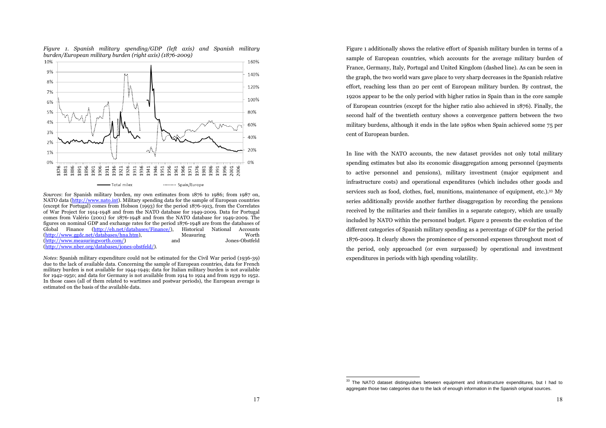

*Figure 1. Spanish military spending/GDP (left axis) and Spanish military burden/European military burden (right axis) (1876-2009)* 

*Sources*: for Spanish military burden, my own estimates from 1876 to 1986; from 1987 on, NATO data (http://www.nato.int). Military spending data for the sample of European countries (except for Portugal) comes from Hobson (1993) for the period 1876-1913, from the Correlates of War Project for 1914-1948 and from the NATO database for 1949-2009. Data for Portugal comes from Valério (2001) for 1876-1948 and from the NATO database for 1949-2009. The figures on nominal GDP and exchange rates for the period 1876-1948 are from the databases of Accounts Global Finance (http://eh.net/databases/Finance/), Historical National Worth (http://www.ggdc.net/databases/hna.htm), Measuring (http://www.measuringworth.com/) and Jones-Obstfeld  $(\text{http://www.measuringworth.com/})$ (http://www.nber.org/databases/jones-obstfeld/).

*Notes*: Spanish military expenditure could not be estimated for the Civil War period (1936-39) due to the lack of available data. Concerning the sample of European countries, data for French military burden is not available for 1944-1949; data for Italian military burden is not available for 1942-1950; and data for Germany is not available from 1914 to 1924 and from 1939 to 1952. In those cases (all of them related to wartimes and postwar periods), the European average is estimated on the basis of the available data.

Figure 1 additionally shows the relative effort of Spanish military burden in terms of a sample of European countries, which accounts for the average military burden of France, Germany, Italy, Portugal and United Kingdom (dashed line). As can be seen in the graph, the two world wars gave place to very sharp decreases in the Spanish relative effort, reaching less than 20 per cent of European military burden. By contrast, the 1920s appear to be the only period with higher ratios in Spain than in the core sample of European countries (except for the higher ratio also achieved in 1876). Finally, the second half of the twentieth century shows a convergence pattern between the two military burdens, although it ends in the late 1980s when Spain achieved some 75 per cent of European burden.

In line with the NATO accounts, the new dataset provides not only total military spending estimates but also its economic disaggregation among personnel (payments to active personnel and pensions), military investment (major equipment and infrastructure costs) and operational expenditures (which includes other goods and services such as food, clothes, fuel, munitions, maintenance of equipment, etc.).33 My series additionally provide another further disaggregation by recording the pensions received by the militaries and their families in a separate category, which are usually included by NATO within the personnel budget. Figure 2 presents the evolution of the different categories of Spanish military spending as a percentage of GDP for the period 1876-2009. It clearly shows the prominence of personnel expenses throughout most of the period, only approached (or even surpassed) by operational and investment expenditures in periods with high spending volatility.

<sup>&</sup>lt;sup>33</sup> The NATO dataset distinguishes between equipment and infrastructure expenditures, but I had to aggregate those two categories due to the lack of enough information in the Spanish original sources.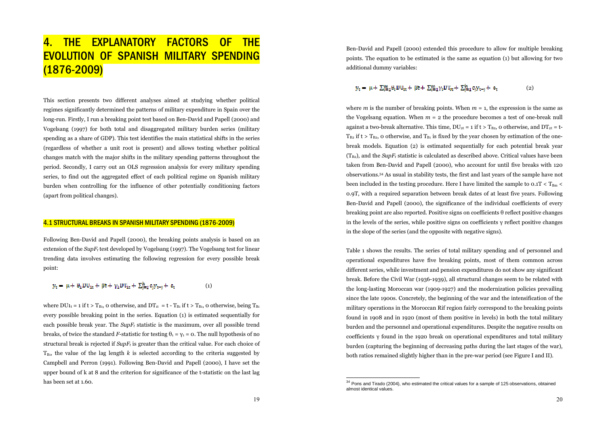# 4. THE EXPLANATORY FACTORS OF THE EVOLUTION OF SPANISH MILITARY SPENDING (1876-2009)

This section presents two different analyses aimed at studying whether political regimes significantly determined the patterns of military expenditure in Spain over the long-run. Firstly, I run a breaking point test based on Ben-David and Papell (2000) and Vogelsang (1997) for both total and disaggregated military burden series (military spending as a share of GDP). This test identifies the main statistical shifts in the series (regardless of whether a unit root is present) and allows testing whether political changes match with the major shifts in the military spending patterns throughout the period. Secondly, I carry out an OLS regression analysis for every military spending series, to find out the aggregated effect of each political regime on Spanish military burden when controlling for the influence of other potentially conditioning factors (apart from political changes).

# 4.1 STRUCTURAL BREAKS IN SPANISH MILITARY SPENDING (1876-2009)

Following Ben-David and Papell (2000), the breaking points analysis is based on an extension of the *SupFt* test developed by Vogelsang (1997). The Vogelsang test for linear trending data involves estimating the following regression for every possible break point:

$$
y_t = \mu + \theta_1 DU_{1t} + \beta t + \gamma_1 DT_{1t} + \sum_{j=1}^{k} c_j y_{t-j} + \varepsilon_t
$$
 (1)

where  $DU_{1t} = 1$  if  $t > T_{B1}$ , o otherwise, and  $DT_{1t} = t - T_{B1}$  if  $t > T_{B1}$ , o otherwise, being  $T_{B1}$ every possible breaking point in the series. Equation (1) is estimated sequentially for each possible break year. The *SupFt* statistic is the maximum, over all possible trend breaks, of twice the standard *F*-statistic for testing  $\theta_1 = \gamma_1 = o$ . The null hypothesis of no structural break is rejected if *SupFt* is greater than the critical value. For each choice of  $T_{B1}$ , the value of the lag length  $k$  is selected according to the criteria suggested by Campbell and Perron (1991). Following Ben-David and Papell (2000), I have set the upper bound of k at 8 and the criterion for significance of the t-statistic on the last lag has been set at 1.60.

Ben-David and Papell (2000) extended this procedure to allow for multiple breaking points. The equation to be estimated is the same as equation (1) but allowing for two additional dummy variables:

$$
y_t = \mu + \sum_{i=1}^{m} \theta_i DU_{it} + \beta t + \sum_{i=1}^{m} \gamma_i DT_{it} + \sum_{j=1}^{K} c_j y_{t-j} + e_t
$$
 (2)

where *m* is the number of breaking points. When  $m = 1$ , the expression is the same as the Vogelsang equation. When  $m = 2$  the procedure becomes a test of one-break null against a two-break alternative. This time,  $DU_{2t} = 1$  if  $t > T_{B2}$ , o otherwise, and  $DT_{2t} = t$ - $T_{B2}$  if t >  $T_{B2}$ , o otherwise, and  $T_{B1}$  is fixed by the year chosen by estimation of the onebreak models. Equation (2) is estimated sequentially for each potential break year  $(T_{B2})$ , and the *SupF<sub>t</sub>* statistic is calculated as described above. Critical values have been taken from Ben-David and Papell (2000), who account for until five breaks with 120 observations.34 As usual in stability tests, the first and last years of the sample have not been included in the testing procedure. Here I have limited the sample to  $0.1T < T_{Bm}$ 0.9T, with a required separation between break dates of at least five years. Following Ben-David and Papell (2000), the significance of the individual coefficients of every breaking point are also reported. Positive signs on coefficients  $\theta$  reflect positive changes in the levels of the series, while positive signs on coefficients  $\gamma$  reflect positive changes in the slope of the series (and the opposite with negative signs).

Table 1 shows the results. The series of total military spending and of personnel and operational expenditures have five breaking points, most of them common across different series, while investment and pension expenditures do not show any significant break. Before the Civil War (1936-1939), all structural changes seem to be related with the long-lasting Moroccan war (1909-1927) and the modernization policies prevailing since the late 1900s. Concretely, the beginning of the war and the intensification of the military operations in the Moroccan Rif region fairly correspond to the breaking points found in 1908 and in 1920 (most of them positive in levels) in both the total military burden and the personnel and operational expenditures. Despite the negative results on coefficients γ found in the 1920 break on operational expenditures and total military burden (capturing the beginning of decreasing paths during the last stages of the war), both ratios remained slightly higher than in the pre-war period (see Figure I and II).

 $34$  Pons and Tirado (2004), who estimated the critical values for a sample of 125 observations, obtained almost identical values.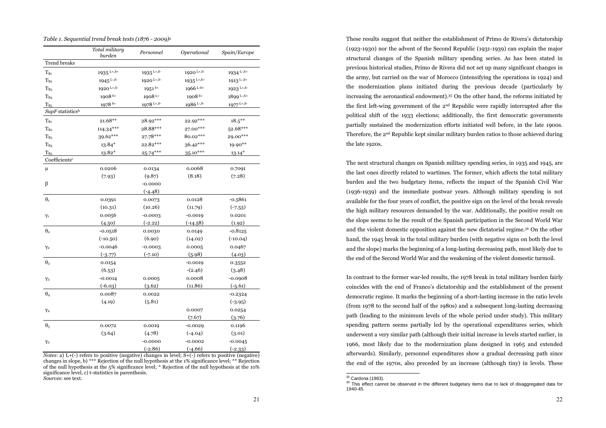*Table 1. Sequential trend break tests (1876 - 2009)<sup>a</sup>*

|                           | Total military<br>burden | Personnel               | Operational           | Spain/Europe   |
|---------------------------|--------------------------|-------------------------|-----------------------|----------------|
| <b>Trend breaks</b>       |                          |                         |                       |                |
| $T_{B1}$                  | $19.35$ L+, S+           | $1935$ <sup>L+,S-</sup> | $1920$ L+,S-          | $1934$ L-, S+  |
| $T_{B2}$                  | $1945$ <sup>L-,S-</sup>  | $1920$ L+,S-            | $1935^{L+,S+}$        | $1913$ L-, S+  |
| $T_{B3}$                  | 1920 L+,S-               | $1951^{S+}$             | $1966$ L-S+           | 1923 L+,S-     |
| $T_{B4}$                  | 1908 <sup>S+</sup>       | 1908L+                  | $1908S+$              | $1899 L-S+$    |
| $T_{B5}$                  | $1978S+$                 | $1978$ L+,S-            | 1986 <sup>L-,S-</sup> | $1977^{L+,S-}$ |
| SupF statisticsb          |                          |                         |                       |                |
| $T_{B1}$                  | $21.68**$                | 28.92***                | 22.92***              | $18.5***$      |
| $T_{B2}$                  | $114.34***$              | 28.88***                | 27.00***              | $52.68***$     |
| $\rm T_{B3}$              | 39.62***                 | $27.78***$              | 80.02***              | 29.00***       |
| $T_{B4}$                  | $13.84*$                 | 22.82***                | 36.42***              | 19.90**        |
| $T_{B5}$                  | $13.82*$                 | $25.74***$              | 35.10***              | $13.14*$       |
| Coefficients <sup>c</sup> |                          |                         |                       |                |
| μ                         | 0.0206                   | 0.0134                  | 0.0068                | 0.7091         |
|                           | (7.93)                   | (9.87)                  | (8.18)                | (7.28)         |
| β                         |                          | $-0.0000$               |                       |                |
|                           |                          | $(-4.48)$               |                       |                |
| $\theta_{1}$              | 0.0391                   | 0.0073                  | 0.0128                | $-0.5861$      |
|                           | (10.31)                  | (10.26)                 | (11.79)               | $(-7.53)$      |
| $\gamma_1$                | 0.0056                   | $-0.0003$               | $-0.0019$             | 0.0201         |
|                           | (4.50)                   | $(-2.22)$               | $(-14.58)$            | (1.92)         |
| $\theta_2$                | $-0.0518$                | 0.0030                  | 0.0149                | $-0.8125$      |
|                           | $(-10.50)$               | (6.90)                  | (14.02)               | $(-10.04)$     |
| $y_2$                     | $-0.0046$                | $-0.0003$               | 0.0005                | 0.0467         |
|                           | $(-3.77)$                | $(-7.10)$               | (5.98)                | (4.03)         |
| $\theta_3$                | 0.0154                   |                         | $-0.0019$             | 0.3552         |
|                           | (6.53)                   |                         | $-(2.46)$             | (3.48)         |
| $Y_3$                     | $-0.0014$                | 0.0005                  | 0.0008                | $-0.0908$      |
|                           | $(-6.03)$                | (3.62)                  | (11.86)               | $(-5.61)$      |
| $\theta_4$                | 0.0087                   | 0.0022                  |                       | $-0.2324$      |
|                           | (4.19)                   | (5.81)                  |                       | $(-3.95)$      |
| $Y_4$                     |                          |                         | 0.0007                | 0.0254         |
|                           |                          |                         | (7.67)                | (3.76)         |
| $\theta_5$                | 0.0072                   | 0.0019                  | $-0.0029$             | 0.1196         |
|                           | (3.64)                   | (4.78)                  | $(-4.04)$             | (3.01)         |
| Y5                        |                          | $-0.0000$               | $-0.0002$             | $-0.0045$      |
|                           |                          | $(-2.86)$               | $(-4.66)$             | $(-2.33)$      |

*Notes*: a) L+(-) refers to positive (negative) changes in level; S+(-) refers to positive (negative) changes in slope, b) \*\*\* Rejection of the null hypothesis at the 1% significance level; \*\* Rejection of the null hypothesis at the 5% significance level; \* Rejection of the null hypothesis at the 10% significance level, c) t-statistics in parenthesis.*Sources*: see text.

These results suggest that neither the establishment of Primo de Rivera's dictatorship (1923-1930) nor the advent of the Second Republic (1931-1939) can explain the major structural changes of the Spanish military spending series. As has been stated in previous historical studies, Primo de Rivera did not set up many significant changes in the army, but carried on the war of Morocco (intensifying the operations in 1924) and the modernization plans initiated during the previous decade (particularly by increasing the aeronautical endowment).35 On the other hand, the reforms initiated by the first left-wing government of the 2nd Republic were rapidly interrupted after the political shift of the 1933 elections; additionally, the first democratic governments partially sustained the modernization efforts initiated well before, in the late 1900s. Therefore, the 2nd Republic kept similar military burden ratios to those achieved during the late 1920s.

The next structural changes on Spanish military spending series, in 1935 and 1945, are the last ones directly related to wartimes. The former, which affects the total military burden and the two budgetary items, reflects the impact of the Spanish Civil War (1936-1939) and the immediate postwar years. Although military spending is not available for the four years of conflict, the positive sign on the level of the break reveals the high military resources demanded by the war. Additionally, the positive result on the slope seems to be the result of the Spanish participation in the Second World War and the violent domestic opposition against the new dictatorial regime.36 On the other hand, the 1945 break in the total military burden (with negative signs on both the level and the slope) marks the beginning of a long-lasting decreasing path, most likely due to the end of the Second World War and the weakening of the violent domestic turmoil.

In contrast to the former war-led results, the 1978 break in total military burden fairly coincides with the end of Franco's dictatorship and the establishment of the present democratic regime. It marks the beginning of a short-lasting increase in the ratio levels (from 1978 to the second half of the 1980s) and a subsequent long-lasting decreasing path (leading to the minimum levels of the whole period under study). This military spending pattern seems partially led by the operational expenditures series, which underwent a very similar path (although their initial increase in levels started earlier, in 1966, most likely due to the modernization plans designed in 1965 and extended afterwards). Similarly, personnel expenditures show a gradual decreasing path since the end of the 1970s, also preceded by an increase (although tiny) in levels. These

<sup>&</sup>lt;sup>35</sup> Cardona (1983).

<sup>&</sup>lt;sup>36</sup> This effect cannot be observed in the different budgetary items due to lack of disaggregated data for 1940-45.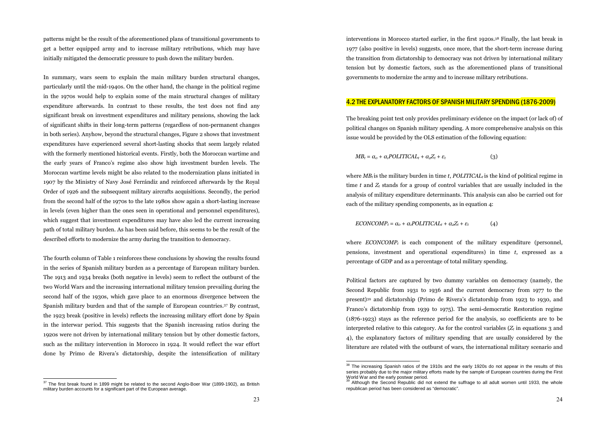patterns might be the result of the aforementioned plans of transitional governments to get a better equipped army and to increase military retributions, which may have initially mitigated the democratic pressure to push down the military burden.

In summary, wars seem to explain the main military burden structural changes, particularly until the mid-1940s. On the other hand, the change in the political regime in the 1970s would help to explain some of the main structural changes of military expenditure afterwards. In contrast to these results, the test does not find any significant break on investment expenditures and military pensions, showing the lack of significant shifts in their long-term patterns (regardless of non-permanent changes in both series). Anyhow, beyond the structural changes, Figure 2 shows that investment expenditures have experienced several short-lasting shocks that seem largely related with the formerly mentioned historical events. Firstly, both the Moroccan wartime and the early years of Franco's regime also show high investment burden levels. The Moroccan wartime levels might be also related to the modernization plans initiated in 1907 by the Ministry of Navy José Ferrándiz and reinforced afterwards by the Royal Order of 1926 and the subsequent military aircrafts acquisitions. Secondly, the period from the second half of the 1970s to the late 1980s show again a short-lasting increase in levels (even higher than the ones seen in operational and personnel expenditures), which suggest that investment expenditures may have also led the current increasing path of total military burden. As has been said before, this seems to be the result of the described efforts to modernize the army during the transition to democracy.

The fourth column of Table 1 reinforces these conclusions by showing the results found in the series of Spanish military burden as a percentage of European military burden. The 1913 and 1934 breaks (both negative in levels) seem to reflect the outburst of the two World Wars and the increasing international military tension prevailing during the second half of the 1930s, which gave place to an enormous divergence between the Spanish military burden and that of the sample of European countries.37 By contrast, the 1923 break (positive in levels) reflects the increasing military effort done by Spain in the interwar period. This suggests that the Spanish increasing ratios during the 1920s were not driven by international military tension but by other domestic factors, such as the military intervention in Morocco in 1924. It would reflect the war effort done by Primo de Rivera's dictatorship, despite the intensification of military

 $37$  The first break found in 1899 might be related to the second Anglo-Boer War (1899-1902), as British military burden accounts for a significant part of the European average.

interventions in Morocco started earlier, in the first 1920s.38 Finally, the last break in 1977 (also positive in levels) suggests, once more, that the short-term increase during the transition from dictatorship to democracy was not driven by international military tension but by domestic factors, such as the aforementioned plans of transitional governments to modernize the army and to increase military retributions.

### 4.2 THE EXPLANATORY FACTORS OF SPANISH MILITARY SPENDING (1876-2009)

The breaking point test only provides preliminary evidence on the impact (or lack of) of political changes on Spanish military spending. A more comprehensive analysis on this issue would be provided by the OLS estimation of the following equation:

$$
MB_t = \alpha_o + \alpha_t POLITICAL_t + \alpha_2 Z_t + \varepsilon_t \tag{3}
$$

where  $MB_t$  is the military burden in time *t*, *POLITICAL*<sub>*t*</sub> is the kind of political regime in time *t* and *Zt* stands for a group of control variables that are usually included in the analysis of military expenditure determinants. This analysis can also be carried out for each of the military spending components, as in equation 4:

$$
ECONCOMP_t = \alpha_o + \alpha_t POLITICAL_t + \alpha_2 Z_t + \varepsilon_t \tag{4}
$$

where  $ECONCOMP_t$  is each component of the military expenditure (personnel, pensions, investment and operational expenditures) in time *<sup>t</sup>*, expressed as a percentage of GDP and as a percentage of total military spending.

Political factors are captured by two dummy variables on democracy (namely, the Second Republic from 1931 to 1936 and the current democracy from 1977 to the present)39 and dictatorship (Primo de Rivera's dictatorship from 1923 to 1930, and Franco's dictatorship from 1939 to 1975). The semi-democratic Restoration regime (1876-1923) stays as the reference period for the analysis, so coefficients are to be interpreted relative to this category. As for the control variables  $(Z_t$  in equations 3 and 4), the explanatory factors of military spending that are usually considered by the literature are related with the outburst of wars, the international military scenario and

<sup>&</sup>lt;sup>38</sup> The increasing Spanish ratios of the 1910s and the early 1920s do not appear in the results of this series probably due to the major military efforts made by the sample of European countries during the First World War and the early postwar period.<br><sup>39</sup> Although the Second Republic did not extend the suffrage to all adult women until 1933, the whole

republican period has been considered as "democratic".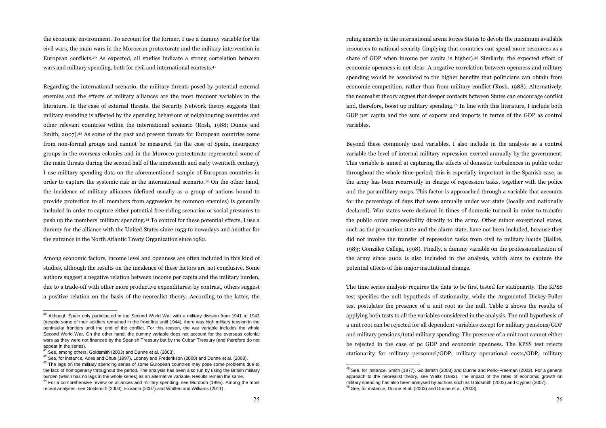the economic environment. To account for the former, I use a dummy variable for the civil wars, the main wars in the Moroccan protectorate and the military intervention in European conflicts.40 As expected, all studies indicate a strong correlation between wars and military spending, both for civil and international contests.<sup>41</sup>

Regarding the international scenario, the military threats posed by potential external enemies and the effects of military alliances are the most frequent variables in the literature. In the case of external threats, the Security Network theory suggests that military spending is affected by the spending behaviour of neighbouring countries and other relevant countries within the international scenario (Rosh, 1988; Dunne and Smith, 2007).<sup>42</sup> As some of the past and present threats for European countries come from non-formal groups and cannot be measured (in the case of Spain, insurgency groups in the overseas colonies and in the Morocco protectorate represented some of the main threats during the second half of the nineteenth and early twentieth century), I use military spending data on the aforementioned sample of European countries in order to capture the systemic risk in the international scenario.43 On the other hand, the incidence of military alliances (defined usually as a group of nations bound to provide protection to all members from aggression by common enemies) is generally included in order to capture either potential free-riding scenarios or social pressures to push up the members' military spending.44 To control for these potential effects, I use a dummy for the alliance with the United States since 1953 to nowadays and another for the entrance in the North Atlantic Treaty Organization since 1982.

Among economic factors, income level and openness are often included in this kind of studies, although the results on the incidence of these factors are not conclusive. Some authors suggest a negative relation between income per capita and the military burden, due to a trade-off with other more productive expenditures; by contrast, others suggest a positive relation on the basis of the neorealist theory. According to the latter, the

ruling anarchy in the international arena forces States to devote the maximum available resources to national security (implying that countries can spend more resources as a share of GDP when income per capita is higher).45 Similarly, the expected effect of economic openness is not clear. A negative correlation between openness and military spending would be associated to the higher benefits that politicians can obtain from economic competition, rather than from military conflict (Rosh, 1988). Alternatively, the neorealist theory argues that deeper contacts between States can encourage conflict and, therefore, boost up military spending.46 In line with this literature, I include both GDP per capita and the sum of exports and imports in terms of the GDP as control variables.

Beyond these commonly used variables, I also include in the analysis as a control variable the level of internal military repression exerted annually by the government. This variable is aimed at capturing the effects of domestic turbulences in public order throughout the whole time-period; this is especially important in the Spanish case, as the army has been recurrently in charge of repression tasks, together with the police and the paramilitary corps. This factor is approached through a variable that accounts for the percentage of days that were annually under war state (locally and nationally declared). War states were declared in times of domestic turmoil in order to transfer the public order responsibility directly to the army. Other minor exceptional states, such as the precaution state and the alarm state, have not been included, because they did not involve the transfer of repression tasks from civil to military hands (Ballbé, 1983; González Calleja, 1998). Finally, a dummy variable on the professionalization of the army since 2002 is also included in the analysis, which aims to capture the potential effects of this major institutional change.

The time series analysis requires the data to be first tested for stationarity. The KPSS test specifies the null hypothesis of stationarity, while the Augmented Dickey-Fuller test postulates the presence of a unit root as the null. Table 2 shows the results of applying both tests to all the variables considered in the analysis. The null hypothesis of a unit root can be rejected for all dependent variables except for military pensions/GDP and military pensions/total military spending. The presence of a unit root cannot either be rejected in the case of pc GDP and economic openness. The KPSS test rejects stationarity for military personnel/GDP, military operational costs/GDP, military

<sup>40</sup> Although Spain only participated in the Second World War with a military division from 1941 to 1943 (despite some of their soldiers remained in the front line until 1944), there was high military tension in the peninsular frontiers until the end of the conflict. For this reason, the war variable includes the whole Second World War. On the other hand, the dummy variable does not account for the overseas colonial wars as they were not financed by the Spanish Treasury but by the Cuban Treasury (and therefore do notappear in the series).

 $41$  See, among others, Goldsmith (2003) and Dunne et al. (2003).

 $^{42}$  See, for instance, Ades and Chua (1997), Looney and Frederikson (2000) and Dunne et al. (2008).

 $43$  The lags on the military spending series of some European countries may pose some problems due to the lack of homogeneity throughout the period. The analysis has been also run by using the British military burden (which has no lags in the whole series) as an alternative variable. Results remain the same.

 $44$  For a comprehensive review on alliances and military spending, see Murdoch (1995). Among the most recent analyses, see Goldsmith (2003), Eloranta (2007) and Whitten and Williams (2011).

<sup>45</sup> See, for instance, Smith (1977), Goldsmith (2003) and Dunne and Perlo-Freeman (2003). For a general approach to the neorealist theory, see Waltz (1982). The impact of the rates of economic growth on military spending has also been analysed by authors such as Goldsmith (2003) and Cypher (2007). <sup>46</sup> See, for instance, Dunne et al. (2003) and Dunne et al. (2008).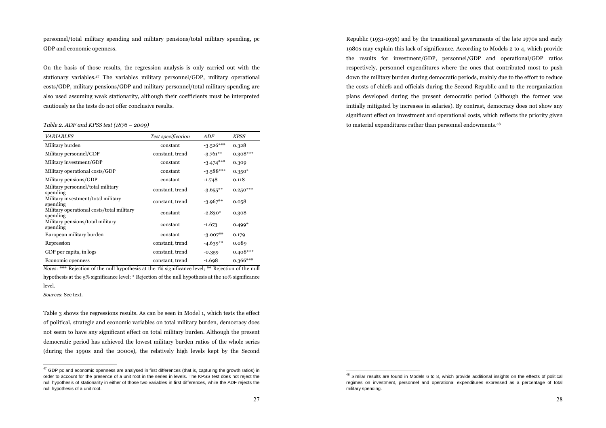personnel/total military spending and military pensions/total military spending, pc GDP and economic openness.

On the basis of those results, the regression analysis is only carried out with the stationary variables.47 The variables military personnel/GDP, military operational costs/GDP, military pensions/GDP and military personnel/total military spending are also used assuming weak stationarity, although their coefficients must be interpreted cautiously as the tests do not offer conclusive results.

#### *Table 2. ADF and KPSS test (1876 – 2009)*

| <i>VARIABLES</i>                                      | Test specification | ADF         | KPSS       |  |
|-------------------------------------------------------|--------------------|-------------|------------|--|
| Military burden                                       | constant           | $-3.526***$ | 0.328      |  |
| Military personnel/GDP                                | constant, trend    | $-3.761**$  | $0.308***$ |  |
| Military investment/GDP                               | constant           | $-3.474***$ | 0.309      |  |
| Military operational costs/GDP                        | constant           | $-3.588***$ | $0.350*$   |  |
| Military pensions/GDP                                 | constant           | $-1.748$    | 0.118      |  |
| Military personnel/total military<br>spending         | constant, trend    | $-3.655**$  | $0.250***$ |  |
| Military investment/total military<br>spending        | constant, trend    | $-3.967**$  | 0.058      |  |
| Military operational costs/total military<br>spending | constant           | $-2.830*$   | 0.308      |  |
| Military pensions/total military<br>spending          | constant           | $-1.673$    | $0.499*$   |  |
| European military burden                              | constant           | $-3.007**$  | 0.179      |  |
| Repression                                            | constant, trend    | $-4.639**$  | 0.089      |  |
| GDP per capita, in logs                               | constant, trend    | $-0.359$    | $0.408***$ |  |
| Economic openness                                     | constant, trend    | $-1.698$    | $0.366***$ |  |

*Notes*: \*\*\* Rejection of the null hypothesis at the 1% significance level; \*\* Rejection of the null hypothesis at the 5% significance level; \* Rejection of the null hypothesis at the 10% significance level.

*Sources*: See text.

Table 3 shows the regressions results. As can be seen in Model 1, which tests the effect of political, strategic and economic variables on total military burden, democracy does not seem to have any significant effect on total military burden. Although the present democratic period has achieved the lowest military burden ratios of the whole series (during the 1990s and the 2000s), the relatively high levels kept by the Second

Republic (1931-1936) and by the transitional governments of the late 1970s and early 1980s may explain this lack of significance. According to Models 2 to 4, which provide the results for investment/GDP, personnel/GDP and operational/GDP ratios respectively, personnel expenditures where the ones that contributed most to push down the military burden during democratic periods, mainly due to the effort to reduce the costs of chiefs and officials during the Second Republic and to the reorganization plans developed during the present democratic period (although the former was initially mitigated by increases in salaries). By contrast, democracy does not show any significant effect on investment and operational costs, which reflects the priority given to material expenditures rather than personnel endowments.<sup>48</sup>

<sup>&</sup>lt;sup>47</sup> GDP pc and economic openness are analysed in first differences (that is, capturing the growth ratios) in order to account for the presence of a unit root in the series in levels. The KPSS test does not reject the null hypothesis of stationarity in either of those two variables in first differences, while the ADF rejects the null hypothesis of a unit root.

<sup>&</sup>lt;sup>48</sup> Similar results are found in Models 6 to 8, which provide additional insights on the effects of political regimes on investment, personnel and operational expenditures expressed as a percentage of total military spending.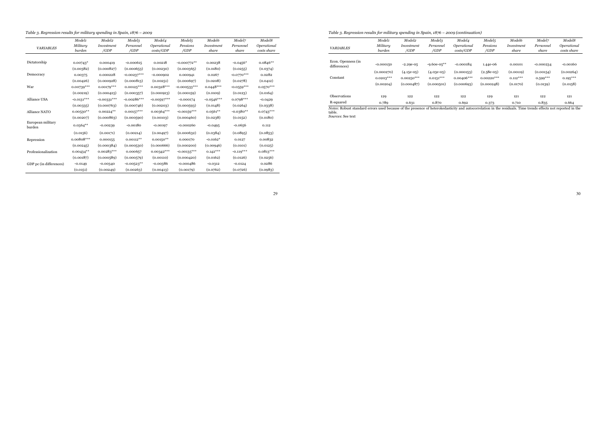*Table 3. Regression results for military spending in Spain, 1876 – 2009* 

|                             | Model1       | Model <sub>2</sub> | Model?        | Model4        | Model <sub>5</sub> | Model6       | Model7       | Model8      |
|-----------------------------|--------------|--------------------|---------------|---------------|--------------------|--------------|--------------|-------------|
| <b>VARIABLES</b>            | Military     | Investment         | Personnel     | Operational   | Pensions           | Investment   | Personnel    | Operational |
|                             | burden       | /GDP               | /GDP          | costs/GDP     | /GDP               | share        | share        | costs share |
|                             |              |                    |               |               |                    |              |              |             |
| Dictatorship                | $0.00743*$   | 0.000419           | $-0.000615$   | 0.00218       | $-0.000772***$     | 0.00238      | $-0.0456*$   | $0.0846**$  |
|                             | (0.00382)    | (0.000827)         | (0.000653)    | (0.00230)     | (0.000365)         | (0.0180)     | (0.0255)     | (0.0374)    |
| Democracy                   | 0.00375      | 0.000228           | $-0.00237***$ | $-0.000902$   | 0.000941           | 0.0267       | $-0.0770***$ | 0.0282      |
|                             | (0.00426)    | (0.000928)         | (0.000813)    | (0.00251)     | (0.000697)         | (0.0208)     | (0.0278)     | (0.0412)    |
| War                         | $0.00739***$ | $0.00179***$       | $0.00125***$  | $0.00328***$  | $-0.000533***$     | $0.0448***$  | $-0.0559***$ | $0.0570***$ |
|                             | (0.00219)    | (0.000425)         | (0.000357)    | (0.000923)    | (0.000159)         | (0.0109)     | (0.0123)     | (0.0164)    |
| Alliance USA                | $-0.0131***$ | $-0.00331***$      | $-0.00286***$ | $-0.00597***$ | $-0.000174$        | $-0.0546***$ | $0.0798***$  | $-0.0429$   |
|                             | (0.00335)    | (0.000763)         | (0.000746)    | (0.00203)     | (0.000593)         | (0.0148)     | (0.0264)     | (0.0338)    |
| Alliance NATO               | $0.00530**$  | $0.00224***$       | $0.00157***$  | $0.00364***$  | $-0.00159***$      | $0.0561***$  | $-0.0380**$  | $0.0743***$ |
|                             | (0.00207)    | (0.000863)         | (0.000590)    | (0.00103)     | (0.000460)         | (0.0238)     | (0.0152)     | (0.0180)    |
| European military<br>burden | $0.0364**$   | $-0.00239$         | $-0.00180$    | $-0.00197$    | $-0.000260$        | $-0.0495$    | $-0.0656$    | 0.112       |
|                             | (0.0156)     | (0.00171)          | (0.00214)     | (0.00497)     | (0.000632)         | (0.0384)     | (0.0895)     | (0.0853)    |
| Repression                  | $0.00808***$ | 0.000155           | $0.00112***$  | $0.00150**$   | 0.000170           | $-0.0162*$   | 0.0127       | 0.00832     |
|                             | (0.00245)    | (0.000384)         | (0.000530)    | (0.000666)    | (0.000200)         | (0.00946)    | (0.0101)     | (0.0125)    |
| Professionalization         | $0.00434***$ | $0.00283***$       | 0.000657      | $0.00342***$  | $-0.00135***$      | $0.142***$   | $-0.119***$  | $0.0813***$ |
|                             | (0.00187)    | (0.000589)         | (0.000579)    | (0.00110)     | (0.000420)         | (0.0162)     | (0.0126)     | (0.0256)    |
| GDP pc (in differences)     | $-0.0149$    | $-0.00340$         | $-0.00523**$  | $-0.00386$    | $-0.000486$        | $-0.0312$    | $-0.0124$    | 0.0286      |
|                             | (0.0151)     | (0.00249)          | (0.00263)     | (0.00413)     | (0.00179)          | (0.0762)     | (0.0726)     | (0.0983)    |

#### *Table 3. Regression results for military spending in Spain, 1876 – 2009 (continuation)*

|                    | Model1             | Model2                        | <b>Model?</b>     | Model4                   | Model5           | Model6              | Model7             | Model8                     |
|--------------------|--------------------|-------------------------------|-------------------|--------------------------|------------------|---------------------|--------------------|----------------------------|
| <b>VARIABLES</b>   | Militaru<br>burden | Investment<br>/GDP            | Personnel<br>/GDP | Operational<br>costs/GDP | Pensions<br>/GDP | Investment<br>share | Personnel<br>share | Operational<br>costs share |
| Econ. Openness (in | $-0.000150$        | $-2.29e - 0.5$                | $-9.60e-05***$    | $-0.000184$              | 1.44e-06         | 0.00101             | $-0.000234$        | $-0.00160$                 |
| differences)       | (0.000270)         |                               | $(4.03e-0.5)$     | (0.000153)               | $(2.58e-0.5)$    | (0.00119)           | (0.00154)          | (0.00264)                  |
| Constant           | $0.0203***$        | $(4.15e-0.5)$<br>$0.00250***$ | $0.0131***$       | $0.00406***$             | $0.00220***$     | $0.112***$          | $0.599***$         | $0.195***$                 |
|                    | (0.00204)          | (0.000487)                    | (0.000501)        | (0.000693)               | (0.000248)       | (0.0170)            | (0.0139)           | (0.0158)                   |
| Observations       | 129                | 122                           | 122               | 122                      | 129              | 121                 | 122                | 121                        |
| R-squared          | 0.789              | 0.631                         | 0.870             | 0.692                    | 0.373            | 0.710               | 0.835              | 0.664                      |

table. *Sources*: See text

29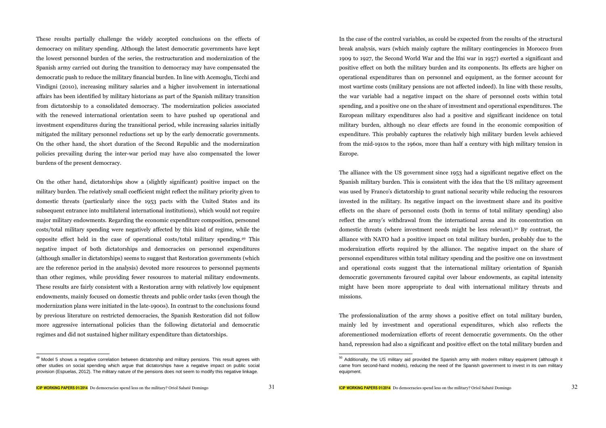These results partially challenge the widely accepted conclusions on the effects of democracy on military spending. Although the latest democratic governments have kept the lowest personnel burden of the series, the restructuration and modernization of the Spanish army carried out during the transition to democracy may have compensated the democratic push to reduce the military financial burden. In line with Acemoglu, Ticchi and Vindigni (2010), increasing military salaries and a higher involvement in international affairs has been identified by military historians as part of the Spanish military transition from dictatorship to a consolidated democracy. The modernization policies associated with the renewed international orientation seem to have pushed up operational and investment expenditures during the transitional period, while increasing salaries initially mitigated the military personnel reductions set up by the early democratic governments. On the other hand, the short duration of the Second Republic and the modernization policies prevailing during the inter-war period may have also compensated the lower burdens of the present democracy.

On the other hand, dictatorships show a (slightly significant) positive impact on the military burden. The relatively small coefficient might reflect the military priority given to domestic threats (particularly since the 1953 pacts with the United States and its subsequent entrance into multilateral international institutions), which would not require major military endowments. Regarding the economic expenditure composition, personnel costs/total military spending were negatively affected by this kind of regime, while the opposite effect held in the case of operational costs/total military spending.49 This negative impact of both dictatorships and democracies on personnel expenditures (although smaller in dictatorships) seems to suggest that Restoration governments (which are the reference period in the analysis) devoted more resources to personnel payments than other regimes, while providing fewer resources to material military endowments. These results are fairly consistent with a Restoration army with relatively low equipment endowments, mainly focused on domestic threats and public order tasks (even though the modernization plans were initiated in the late-1900s). In contrast to the conclusions found by previous literature on restricted democracies, the Spanish Restoration did not follow more aggressive international policies than the following dictatorial and democratic regimes and did not sustained higher military expenditure than dictatorships.

In the case of the control variables, as could be expected from the results of the structural break analysis, wars (which mainly capture the military contingencies in Morocco from 1909 to 1927, the Second World War and the Ifni war in 1957) exerted a significant and positive effect on both the military burden and its components. Its effects are higher on operational expenditures than on personnel and equipment, as the former account for most wartime costs (military pensions are not affected indeed). In line with these results, the war variable had a negative impact on the share of personnel costs within total spending, and a positive one on the share of investment and operational expenditures. The European military expenditures also had a positive and significant incidence on total military burden, although no clear effects are found in the economic composition of expenditure. This probably captures the relatively high military burden levels achieved from the mid-1910s to the 1960s, more than half a century with high military tension in Europe.

The alliance with the US government since 1953 had a significant negative effect on the Spanish military burden. This is consistent with the idea that the US military agreement was used by Franco's dictatorship to grant national security while reducing the resources invested in the military. Its negative impact on the investment share and its positive effects on the share of personnel costs (both in terms of total military spending) also reflect the army's withdrawal from the international arena and its concentration on domestic threats (where investment needs might be less relevant).50 By contrast, the alliance with NATO had a positive impact on total military burden, probably due to the modernization efforts required by the alliance. The negative impact on the share of personnel expenditures within total military spending and the positive one on investment and operational costs suggest that the international military orientation of Spanish democratic governments favoured capital over labour endowments, as capital intensity might have been more appropriate to deal with international military threats and missions.

The professionalization of the army shows a positive effect on total military burden, mainly led by investment and operational expenditures, which also reflects the aforementioned modernization efforts of recent democratic governments. On the other hand, repression had also a significant and positive effect on the total military burden and

<sup>&</sup>lt;sup>49</sup> Model 5 shows a negative correlation between dictatorship and military pensions. This result agrees with other studies on social spending which argue that dictatorships have a negative impact on public social provision (Espuelas, 2012). The military nature of the pensions does not seem to modify this negative linkage.

<sup>&</sup>lt;sup>50</sup> Additionally, the US military aid provided the Spanish army with modern military equipment (although it came from second-hand models), reducing the need of the Spanish government to invest in its own military equipment.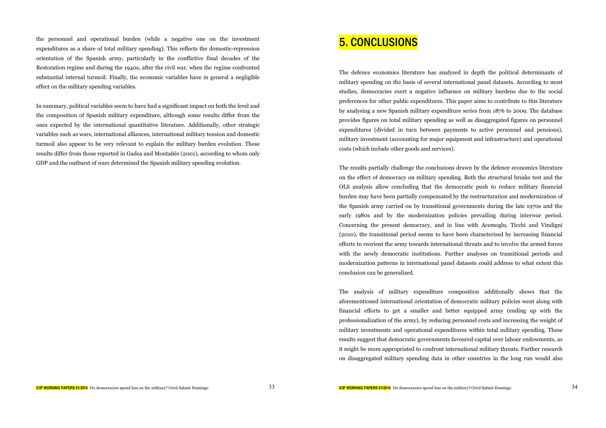the personnel and operational burden (while a negative one on the investment expenditures as a share of total military spending). This reflects the domestic-repression orientation of the Spanish army, particularly in the conflictive final decades of the Restoration regime and during the 1940s, after the civil war, when the regime confronted substantial internal turmoil. Finally, the economic variables have in general a negligible effect on the military spending variables.

In summary, political variables seem to have had a significant impact on both the level and the composition of Spanish military expenditure, although some results differ from the ones expected by the international quantitative literature. Additionally, other strategic variables such as wars, international alliances, international military tension and domestic turmoil also appear to be very relevant to explain the military burden evolution. These results differ from those reported in Gadea and Montañés (2001), according to whom only GDP and the outburst of wars determined the Spanish military spending evolution.

# 5. CONCLUSIONS

The defence economics literature has analysed in depth the political determinants of military spending on the basis of several international panel datasets. According to most studies, democracies exert a negative influence on military burdens due to the social preferences for other public expenditures. This paper aims to contribute to this literature by analysing a new Spanish military expenditure series from 1876 to 2009. The database provides figures on total military spending as well as disaggregated figures on personnel expenditures (divided in turn between payments to active personnel and pensions), military investment (accounting for major equipment and infrastructure) and operational costs (which include other goods and services).

The results partially challenge the conclusions drawn by the defence economics literature on the effect of democracy on military spending. Both the structural breaks test and the OLS analysis allow concluding that the democratic push to reduce military financial burden may have been partially compensated by the restructuration and modernization of the Spanish army carried on by transitional governments during the late 1970s and the early 1980s and by the modernization policies prevailing during interwar period. Concerning the present democracy, and in line with Acemoglu, Ticchi and Vindigni (2010), the transitional period seems to have been characterised by increasing financial efforts to reorient the army towards international threats and to involve the armed forces with the newly democratic institutions. Further analyses on transitional periods and modernization patterns in international panel datasets could address to what extent this conclusion can be generalized.

The analysis of military expenditure composition additionally shows that the aforementioned international orientation of democratic military policies went along with financial efforts to get a smaller and better equipped army (ending up with the professionalization of the army), by reducing personnel costs and increasing the weight of military investments and operational expenditures within total military spending. These results suggest that democratic governments favoured capital over labour endowments, as it might be more appropriated to confront international military threats. Further research on disaggregated military spending data in other countries in the long run would also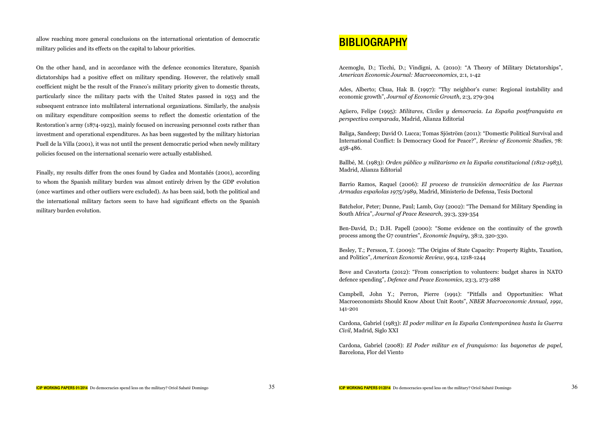allow reaching more general conclusions on the international orientation of democratic military policies and its effects on the capital to labour priorities.

On the other hand, and in accordance with the defence economics literature, Spanish dictatorships had a positive effect on military spending. However, the relatively small coefficient might be the result of the Franco's military priority given to domestic threats, particularly since the military pacts with the United States passed in 1953 and the subsequent entrance into multilateral international organizations. Similarly, the analysis on military expenditure composition seems to reflect the domestic orientation of the Restoration's army (1874-1923), mainly focused on increasing personnel costs rather than investment and operational expenditures. As has been suggested by the military historian Puell de la Villa (2001), it was not until the present democratic period when newly military policies focused on the international scenario were actually established.

Finally, my results differ from the ones found by Gadea and Montañés (2001), according to whom the Spanish military burden was almost entirely driven by the GDP evolution (once wartimes and other outliers were excluded). As has been said, both the political and the international military factors seem to have had significant effects on the Spanish military burden evolution.

# **BIBLIOGRAPHY**

Acemoglu, D.; Ticchi, D.; Vindigni, A. (2010): "A Theory of Military Dictatorships", *American Economic Journal: Macroeconomics*, 2:1, 1-42

Ades, Alberto; Chua, Hak B. (1997): "Thy neighbor's curse: Regional instability and economic growth", *Journal of Economic Growth*, 2:3, 279-304

Agüero, Felipe (1995): *Militares, Civiles y democracia. La España postfranquista en perspectiva comparada*, Madrid, Alianza Editorial

Baliga, Sandeep; David O. Lucca; Tomas Sjöström (2011): "Domestic Political Survival and International Conflict: Is Democracy Good for Peace?", *Review of Economic Studies*, 78: 458-486.

Ballbé, M. (1983): *Orden público y militarismo en la España constitucional (1812-1983)*, Madrid, Alianza Editorial

Barrio Ramos, Raquel (2006): *El proceso de transición democrática de las FuerzasArmadas españolas 1975/1989*, Madrid, Ministerio de Defensa, Tesis Doctoral

Batchelor, Peter; Dunne, Paul; Lamb, Guy (2002): "The Demand for Military Spending in South Africa", *Journal of Peace Research*, 39:3, 339-354

Ben-David, D.; D.H. Papell (2000): "Some evidence on the continuity of the growth process among the G7 countries", *Economic Inquiry*, 38:2, 320-330.

Besley, T.; Persson, T. (2009): "The Origins of State Capacity: Property Rights, Taxation, and Politics", *American Economic Review*, 99:4, 1218-1244

Bove and Cavatorta (2012): "From conscription to volunteers: budget shares in NATO defence spending", *Defence and Peace Economics*, 23:3, 273-288

Campbell, John Y.; Perron, Pierre (1991): "Pitfalls and Opportunities: What Macroeconomists Should Know About Unit Roots", *NBER Macroeconomic Annual, 1991*, 141-201

Cardona, Gabriel (1983): *El poder militar en la España Contemporánea hasta la Guerra Civil*, Madrid, Siglo XXI

Cardona, Gabriel (2008): *El Poder militar en el franquismo: las bayonetas de papel,* Barcelona, Flor del Viento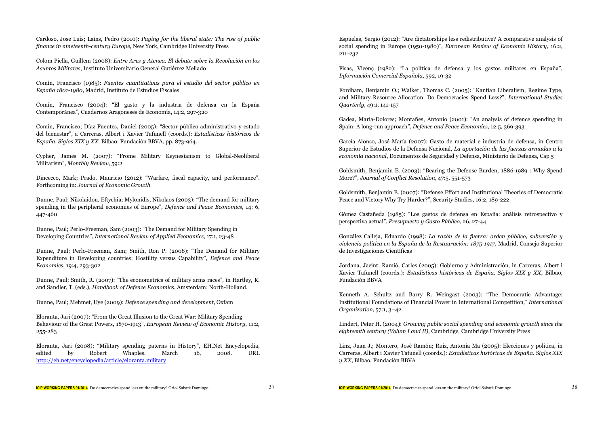Cardoso, Jose Luís; Lains, Pedro (2010): *Paying for the liberal state: The rise of public finance in nineteenth-century Europe,* New York, Cambridge University Press

Colom Piella, Guillem (2008): *Entre Ares y Atenea. El debate sobre la Revolución en los Asuntos Militares*, Instituto Universitario General Gutiérrez Mellado

Comín, Francisco (1985): *Fuentes cuantitativas para el estudio del sector público en España 1801-1980*, Madrid, Instituto de Estudios Fiscales

Comín, Francisco (2004): "El gasto y la industria de defensa en la España Contemporánea", Cuadernos Aragoneses de Economía, 14:2, 297-320

Comín, Francisco; Díaz Fuentes, Daniel (2005): "Sector público administrativo y estado del bienestar", a Carreras, Albert i Xavier Tafunell (coords.): *Estadísticas históricos de España. Siglos XIX y XX*. Bilbao: Fundación BBVA, pp. 873-964.

Cypher, James M. (2007): "Frome Military Keynesianism to Global-Neoliberal Militarism", *Monthly Review*, 59:2

Dincecco, Mark; Prado, Mauricio (2012): "Warfare, fiscal capacity, and performance". Forthcoming in: *Journal of Economic Growth*

Dunne, Paul; Nikolaidou, Eftychia; Mylonidis, Nikolaos (2003): "The demand for military spending in the peripheral economies of Europe", *Defence and Peace Economics*, 14: 6, 447-460

Dunne, Paul; Perlo-Freeman, Sam (2003): "The Demand for Military Spending in Developing Countries", *International Review of Applied Economics*, 17:1, 23-48

Dunne, Paul; Perlo-Freeman, Sam; Smith, Ron P. (2008): "The Demand for Military Expenditure in Developing countries: Hostility versus Capability", *Defence and Peace Economics*, 19:4, 293-302

Dunne, Paul; Smith, R. (2007): "The econometrics of military arms races", in Hartley, K. and Sandler, T. (eds.), *Handbook of Defence Economics*, Amsterdam: North-Holland.

Dunne, Paul; Mehmet, Uye (2009): *Defence spending and development*, Oxfam

Eloranta, Jari (2007): "From the Great Illusion to the Great War: Military Spending Behaviour of the Great Powers, 1870-1913", *European Review of Economic History*, 11:2, 255-283

Eloranta, Jari (2008): "Military spending paterns in History", EH.Net Encyclopedia, URL edited by Robert Whaples. March 16, 2008. http://eh.net/encyclopedia/article/eloranta.military

Espuelas, Sergio (2012): "Are dictatorships less redistributive? A comparative analysis of social spending in Europe (1950-1980)", *European Review of Economic History,* 16:2, 211-232

Fisas, Vicenç (1982): "La política de defensa y los gastos militares en España", *Información Comercial Española*, 592, 19-32

Fordham, Benjamin O.; Walker, Thomas C. (2005): "Kantian Liberalism, Regime Type, and Military Resource Allocation: Do Democracies Spend Less?", *International Studies Quarterly*, 49:1, 141-157

Gadea, María-Dolores; Montañes, Antonio (2001): "An analysis of defence spending in Spain: A long-run approach", *Defence and Peace Economics*, 12:5, 369-393

García Alonso, José María (2007): Gasto de material e industria de defensa, in Centro Superior de Estudios de la Defensa Nacional, *La aportación de las fuerzas armadas a la economía nacional*, Documentos de Seguridad y Defensa, Ministerio de Defensa, Cap 5

Goldsmith, Benjamin E. (2003): "Bearing the Defense Burden, 1886-1989 : Why Spend More?", *Journal of Conflict Resolution*, 47:5, 551-573

Goldsmith, Benjamin E. (2007): "Defense Effort and Institutional Theories of Democratic Peace and Victory Why Try Harder?", Security Studies, 16:2, 189-222

Gómez Castañeda (1985): "Los gastos de defensa en España: análisis retrospectivo y perspectiva actual", *Presupuesto y Gasto Público*, 26, 27-44

González Calleja, Eduardo (1998): *La razón de la fuerza: orden público, subversión y violencia política en la España de la Restauración: 1875-1917*, Madrid, Consejo Superior de Investigaciones Científicas

Jordana, Jacint; Ramió, Carles (2005): Gobierno y Administración, in Carreras, Albert i Xavier Tafunell (coords.): *Estadísticas históricas de España. Siglos XIX y XX*, Bilbao, Fundación BBVA

Kenneth A. Schultz and Barry R. Weingast (2003): "The Democratic Advantage: Institutional Foundations of Financial Power in International Competition," *International Organization*, 57:1, 3–42.

Lindert, Peter H. (2004): *Growing public social spending and economic growth since the eighteenth century (Volum I and II)*, Cambridge, Cambridge University Press

Linz, Juan J.; Montero, José Ramón; Ruiz, Antonia Ma (2005): Elecciones y política, in Carreras, Albert i Xavier Tafunell (coords.): *Estadísticas históricas de España. Siglos XIX y XX*, Bilbao, Fundación BBVA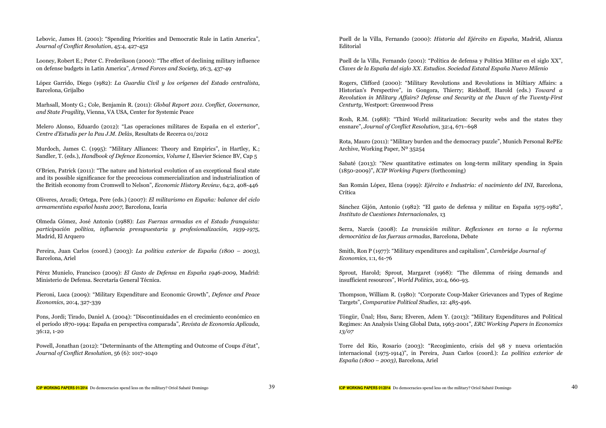Lebovic, James H. (2001): "Spending Priorities and Democratic Rule in Latin America", *Journal of Conflict Resolution*, 45:4, 427-452

Looney, Robert E.; Peter C. Frederikson (2000): "The effect of declining military influence on defense budgets in Latin America", *Armed Forces and Society,* 26:3, 437-49

López Garrido, Diego (1982): *La Guardia Civil y los orígenes del Estado centralista*, Barcelona, Grijalbo

Marhsall, Monty G.; Cole, Benjamin R. (2011): *Global Report 2011. Conflict, Governance, and State Fragility*, Vienna, VA USA, Center for Systemic Peace

Melero Alonso, Eduardo (2012): "Las operaciones militares de España en el exterior", *Centre d'Estudis per la Pau J.M. Delàs*, Resultats de Recerca 01/2012

Murdoch, James C. (1995): "Military Alliances: Theory and Empirics", in Hartley, K.; Sandler, T. (eds.), *Handbook of Defence Economics, Volume I*, Elsevier Science BV, Cap 5

O'Brien, Patrick (2011): "The nature and historical evolution of an exceptional fiscal state and its possible significance for the precocious commercialization and industrialization of the British economy from Cromwell to Nelson", *Economic History Review*, 64:2, 408-446

Oliveres, Arcadi; Ortega, Pere (eds.) (2007): *El militarismo en España: balance del ciclo armamentista español hasta 2007*, Barcelona, Icaria

Olmeda Gómez, José Antonio (1988): *Las Fuerzas armadas en el Estado franquista: participación política, influencia presupuestaria y profesionalización, 1939-1975*, Madrid, El Arquero

Pereira, Juan Carlos (coord.) (2003): *La política exterior de España (1800 – 2003)*, Barcelona, Ariel

Pérez Munielo, Francisco (2009): *El Gasto de Defensa en España 1946-2009*, Madrid: Ministerio de Defensa. Secretaría General Técnica.

Pieroni, Luca (2009): "Military Expenditure and Economic Growth", *Defence and Peace Economics*, 20:4, 327-339

Pons, Jordi; Tirado, Daniel A. (2004): "Discontinuidades en el crecimiento económico en el período 1870-1994: España en perspectiva comparada", *Revista de Economía Aplicada*, 36:12, 1-20

Powell, Jonathan (2012): "Determinants of the Attempting and Outcome of Coups d'état", *Journal of Conflict Resolution*, 56 (6): 1017-1040

Puell de la Villa, Fernando (2000): *Historia del Ejército en España*, Madrid, Alianza Editorial

Puell de la Villa, Fernando (2001): "Política de defensa y Política Militar en el siglo XX", *Claves de la España del siglo XX. Estudios. Sociedad Estatal España Nuevo Milenio* 

Rogers, Clifford (2000): "Military Revolutions and Revolutions in Miltiary Affairs: a Historian's Perspective", in Gongora, Thierry; Riekhoff, Harold (eds.) *Toward a Revolution in Military Affairs? Defense and Security at the Dawn of the Twenty-First Centurty*, Westport: Greenwood Press

Rosh, R.M. (1988): "Third World militarization: Security webs and the states they ensnare", *Journal of Conflict Resolution*, 32:4, 671–698

Rota, Mauro (2011): "Military burden and the democracy puzzle", Munich Personal RePEc Archive, Working Paper, Nº 35254

Sabaté (2013): "New quantitative estimates on long-term military spending in Spain (1850-2009)", *ICIP Working Papers* (forthcoming)

San Román López, Elena (1999): *Ejército e Industria: el nacimiento del INI*, Barcelona, Crítica

Sánchez Gijón, Antonio (1982): "El gasto de defensa y militar en España 1975-1982", *Instituto de Cuestiones Internacionales*, 13

Serra, Narcís (2008): *La transición militar. Reflexiones en torno a la reforma democrática de las fuerzas armadas*, Barcelona, Debate

Smith, Ron P (1977): "Military expenditures and capitalism", *Cambridge Journal of Economics*, 1:1, 61-76

Sprout, Harold; Sprout, Margaret (1968): "The dilemma of rising demands and insufficient resources", *World Politics*, 20:4, 660-93.

Thompson, William R. (1980): "Corporate Coup-Maker Grievances and Types of Regime Targets", *Comparative Political Studies*, 12: 485-496.

Töngür, Ünal; Hsu, Sara; Elveren, Adem Y. (2013): "Military Expenditures and Political Regimes: An Analysis Using Global Data, 1963-2001", *ERC Working Papers in Economics 13/07*

Torre del Río, Rosario (2003): "Recogimiento, crisis del 98 y nueva orientación internacional (1975-1914)", in Pereira, Juan Carlos (coord.): *La política exterior de España (1800 – 2003)*, Barcelona, Ariel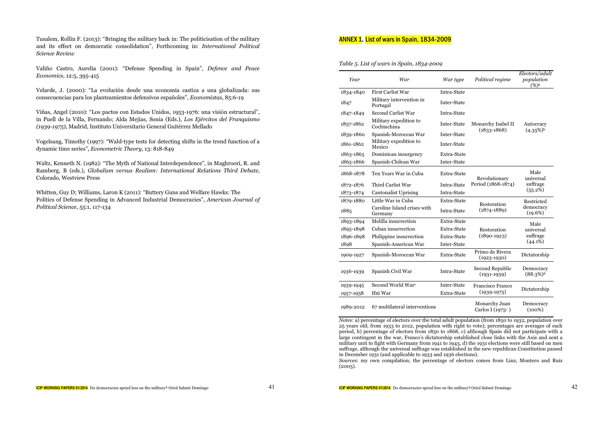Tusalem, Rollin F. (2013): "Bringing the military back in: The politicisation of the military and its effect on democratic consolidation", Forthcoming in: *International Political Science Review*

Valiño Castro, Aurelia (2001): "Defense Spending in Spain", *Defence and Peace Economics*, 12:5, 395-415

Velarde, J. (2000): "La evolución desde una economía castiza a una globalizada: sus consecuencias para los planteamientos defensivos españoles", *Economistas*, 85:6-19

Viñas, Angel (2010): "Los pactos con Estados Unidos, 1953-1976: una visión estructural", in Puell de la Villa, Fernando; Alda Mejías, Sonia (Eds.), *Los Ejércitos del Franquismo (1939-1975)*, Madrid, Instituto Universitario General Guitérrez Mellado

Vogelsang, Timothy (1997): "Wald-type tests for detecting shifts in the trend function of a dynamic time series", *Econometric Theory*, 13: 818-849

Waltz, Kenneth N. (1982): "The Myth of National Interdependence", in Maghroori, R. and Ramberg, B (eds.), *Globalism versus Realism: International Relations Third Debate*, Colorado, Westview Press

Whitten, Guy D; Williams, Laron K (2011): "Buttery Guns and Welfare Hawks: The Politics of Defense Spending in Advanced Industrial Democracies", *American Journal of Political Science*, 55:1, 117-134

# ANNEX 1. List of wars in Spain, 1834-2009

*Table 5. List of wars in Spain, 1834-2009* 

| Year      | War                                    | War type    | Political regime                      | Electors/adult<br>population<br>$(%)^a$ |  |
|-----------|----------------------------------------|-------------|---------------------------------------|-----------------------------------------|--|
| 1834-1840 | First Carlist War                      | Intra-State |                                       |                                         |  |
| 1847      | Military intervention in<br>Portugal   | Inter-State |                                       |                                         |  |
| 1847-1849 | Second Carlist War                     | Intra-State |                                       |                                         |  |
| 1857-1862 | Military expedition to<br>Cochinchina  | Inter-State | Monarchy Isabel II<br>$(1833 - 1868)$ | Autocracy<br>(4.35%) <sup>b</sup>       |  |
| 1859-1860 | Spanish-Moroccan War                   | Inter-State |                                       |                                         |  |
| 1861-1862 | Military expedition to<br>Mexico       | Inter-State |                                       |                                         |  |
| 1863-1865 | Dominican insurgency                   | Extra-State |                                       |                                         |  |
| 1865-1866 | Spanish-Chilean War                    | Inter-State |                                       |                                         |  |
| 1868-1878 | Ten Years War in Cuba                  | Extra-State | Revolutionary                         | Male<br>universal                       |  |
| 1872-1876 | Third Carlist War                      | Intra-State | Period (1868-1874)                    | suffrage<br>(55.2%)                     |  |
| 1873-1874 | <b>Cantonalist Uprising</b>            | Intra-State |                                       |                                         |  |
| 1879-1880 | Little War in Cuba                     | Extra-State | Restoration                           | Restricted                              |  |
| 1885      | Caroline Island crises with<br>Germany | Intra-State | $(1874 - 1889)$                       | democracy<br>(19.6%)                    |  |
| 1893-1894 | Melilla insurrection                   | Extra-State |                                       | Male                                    |  |
| 1895-1898 | Cuban insurrection                     | Extra-State | Restoration                           | universal                               |  |
| 1896-1898 | Philippine insurrection                | Extra-State | $(1890-1923)$                         | suffrage                                |  |
| 1898      | Spanish-American War                   | Inter-State |                                       | (44.1%)                                 |  |
| 1909-1927 | Spanish-Moroccan War                   | Extra-State | Primo de Rivera<br>$(1923 - 1930)$    | Dictatorship                            |  |
| 1936-1939 | Spanish Civil War                      | Intra-State | Second Republic<br>$(1931 - 1939)$    | Democracy<br>(88.3%) <sup>d</sup>       |  |
| 1939-1945 | Second World War <sup>c</sup>          | Inter-State | <b>Francisco Franco</b>               |                                         |  |
| 1957-1958 | Ifni War                               | Extra-State | $(1939-1975)$                         | Dictatorship                            |  |
| 1989-2012 | 67 multilateral interventions          |             | Monarchy Juan<br>Carlos I (1975-)     | Democracy<br>(100%)                     |  |

*Notes*: a) percentage of electors over the total adult population (from 1850 to 1932, population over 25 years old; from 1933 to 2012, population with right to vote); percentages are averages of each period, b) percentage of electors from 1850 to 1868, c) although Spain did not participate with a large contingent in the war, Franco's dictatorship established close links with the Axis and sent a military unit to fight with Germany from 1941 to 1943, d) the 1931 elections were still based on men suffrage, although the universal suffrage was established in the new republican Constitution passed in December 1931 (and applicable to 1933 and 1936 elections).

 *Sources*: my own compilation; the percentage of electors comes from Linz, Montero and Ruiz (2005).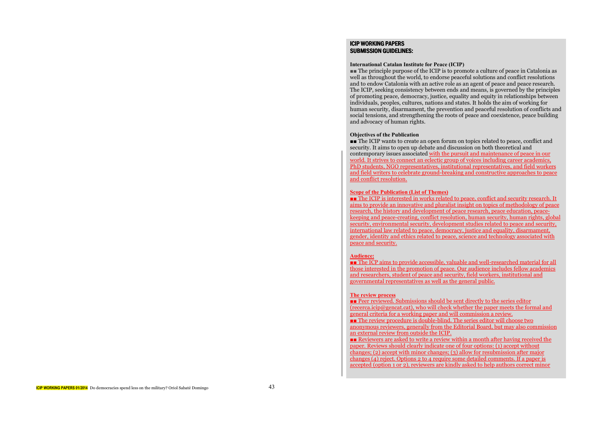#### ICIP WORKING PAPERSSUBMISSION GUIDELINES:

#### **International Catalan Institute for Peace (ICIP)**

 ■■ The principle purpose of the ICIP is to promote a culture of peace in Catalonia as well as throughout the world, to endorse peaceful solutions and conflict resolutions and to endow Catalonia with an active role as an agent of peace and peace research. The ICIP, seeking consistency between ends and means, is governed by the principles of promoting peace, democracy, justice, equality and equity in relationships between individuals, peoples, cultures, nations and states. It holds the aim of working for human security, disarmament, the prevention and peaceful resolution of conflicts and social tensions, and strengthening the roots of peace and coexistence, peace building and advocacy of human rights.

#### **Objectives of the Publication**

 ■■ The ICIP wants to create an open forum on topics related to peace, conflict and security. It aims to open up debate and discussion on both theoretical and contemporary issues associated with the pursuit and maintenance of peace in our world. It strives to connect an eclectic group of voices including career academics, PhD students, NGO representatives, institutional representatives, and field workers and field writers to celebrate ground-breaking and constructive approaches to peace and conflict resolution.

#### **Scope of the Publication (List of Themes)**

**IF The ICIP is interested in works related to peace, conflict and security research. It**  aims to provide an innovative and pluralist insight on topics of methodology of peace research, the history and development of peace research, peace education, peacekeeping and peace-creating, conflict resolution, human security, human rights, global security, environmental security, development studies related to peace and security, international law related to peace, democracy, justice and equality, disarmament, gender, identity and ethics related to peace, science and technology associated with peace and security.

#### **Audience:**

**■** The ICP aims to provide accessible, valuable and well-researched material for all those interested in the promotion of peace. Our audience includes fellow academics and researchers, student of peace and security, field workers, institutional and governmental representatives as well as the general public.

#### **The review process**

**<u>■■ Peer reviewed. Submissions should be sent directly to the series editor</u>**  (recerca.icip@gencat.cat), who will check whether the paper meets the formal and general criteria for a working paper and will commission a review. **IF The review procedure is double-blind. The series editor will choose two** anonymous reviewers, generally from the Editorial Board, but may also commission

an external review from outside the ICIP.

**■** Reviewers are asked to write a review within a month after having received the paper. Reviews should clearly indicate one of four options: (1) accept without changes; (2) accept with minor changes; (3) allow for resubmission after major changes (4) reject. Options 2 to 4 require some detailed comments. If a paper is accepted (option 1 or 2), reviewers are kindly asked to help authors correct minor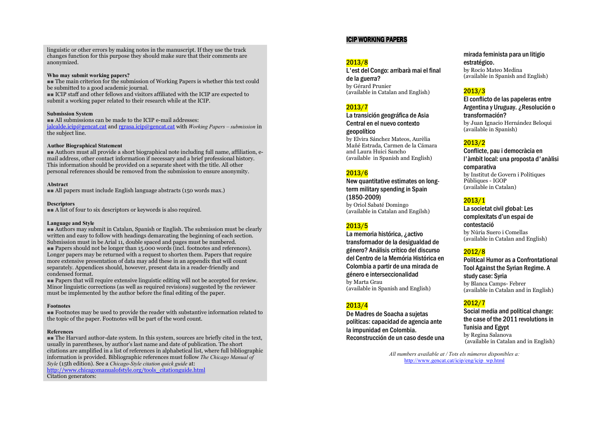linguistic or other errors by making notes in the manuscript. If they use the track changes function for this purpose they should make sure that their comments are anonymized.

## **Who may submit working papers?**

 ■■ The main criterion for the submission of Working Papers is whether this text could be submitted to a good academic journal.

■■ ICIP staff and other fellows and visitors affiliated with the ICIP are expected to submit a working paper related to their research while at the ICIP.

#### **Submission System**

 ■■ All submissions can be made to the ICIP e-mail addresses: jalcalde.icip@gencat.cat and rgrasa.icip@gencat.cat with *Working Papers – submission* in the subject line.

## **Author Biographical Statement**

 ■■ Authors must all provide a short biographical note including full name, affiliation, email address, other contact information if necessary and a brief professional history. This information should be provided on a separate sheet with the title. All other personal references should be removed from the submission to ensure anonymity.

#### **Abstract**

■■ All papers must include English language abstracts (150 words max.)

#### **Descriptors**

■■ A list of four to six descriptors or keywords is also required.

#### **Language and Style**

 ■■ Authors may submit in Catalan, Spanish or English. The submission must be clearly written and easy to follow with headings demarcating the beginning of each section. Submission must in be Arial 11, double spaced and pages must be numbered. ■■ Papers should not be longer than 15.000 words (incl. footnotes and references). Longer papers may be returned with a request to shorten them. Papers that require more extensive presentation of data may add these in an appendix that will count separately. Appendices should, however, present data in a reader-friendly and condensed format.

 ■■ Papers that will require extensive linguistic editing will not be accepted for review. Minor linguistic corrections (as well as required revisions) suggested by the reviewer must be implemented by the author before the final editing of the paper.

#### **Footnotes**

■■ Footnotes may be used to provide the reader with substantive information related to the topic of the paper. Footnotes will be part of the word count.

#### **References**

 ■■ The Harvard author-date system. In this system, sources are briefly cited in the text, usually in parentheses, by author's last name and date of publication. The short citations are amplified in a list of references in alphabetical list, where full bibliographic information is provided. Bibliographic references must follow *The Chicago Manual of Style* (15th edition). See a *Chicago-Style citation quick guide* at: http://www.chicagomanualofstyle.org/tools\_citationguide.html

Citation generators:

## **ICIP WORKING PAPERS**

# 2013/8

L'est del Congo: arribarà mai el final de la guerra? by Gérard Prunier (available in Catalan and English)

# 2013/7

La transición geográfica de Asia Central en el nuevo contexto geopolítico

 by Elvira Sánchez Mateos, Aurèlia Mañé Estrada, Carmen de la Cámara and Laura Huici Sancho (available in Spanish and English)

# 2013/6

 New quantitative estimates on longterm military spending in Spain (1850-2009) by Oriol Sabaté Domingo (available in Catalan and Engilsh)

# 2013/5

La memoria histórica, ¿activo transformador de la desigualdad de género? Análisis crítico del discurso del Centro de la Memória Histórica en Colombia a partir de una mirada de género e interseccionalidadby Marta Grau (available in Spanish and English)

# 2013/4

 De Madres de Soacha a sujetas políticas: capacidad de agencia ante la impunidad en Colombia. Reconstrucción de un caso desde una mirada feminista para un litigio estratégico. by Rocío Mateo Medina (available in Spanish and English)

# 2013/3

 El conflicto de las papeleras entre Argentina y Uruguay. ¿Resolución o transformación? by Juan Ignacio Hernández Beloqui (available in Spanish)

# 2013/2

 Conflicte, pau i democràcia en l'àmbit local: una proposta d'anàlisi comparativa by Institut de Govern i Polítiques Públiques - IGOP (available in Catalan)

# 2013/1

La societat civil global: Les complexitats d'un espai de contestació by Núria Suero i Comellas (available in Catalan and English)

## 2012/8

 Political Humor as a Confrontational Tool Against the Syrian Regime. A study case: Syria by Blanca Camps- Febrer (available in Catalan and in English)

# 2012/7

Social media and political change: the case of the 2011 revolutions in Tunisia and Egypt by Regina Salanova (available in Catalan and in English)

*All numbers available at / Tots els números disponibles a:*http://www.gencat.cat/icip/eng/icip\_wp.html